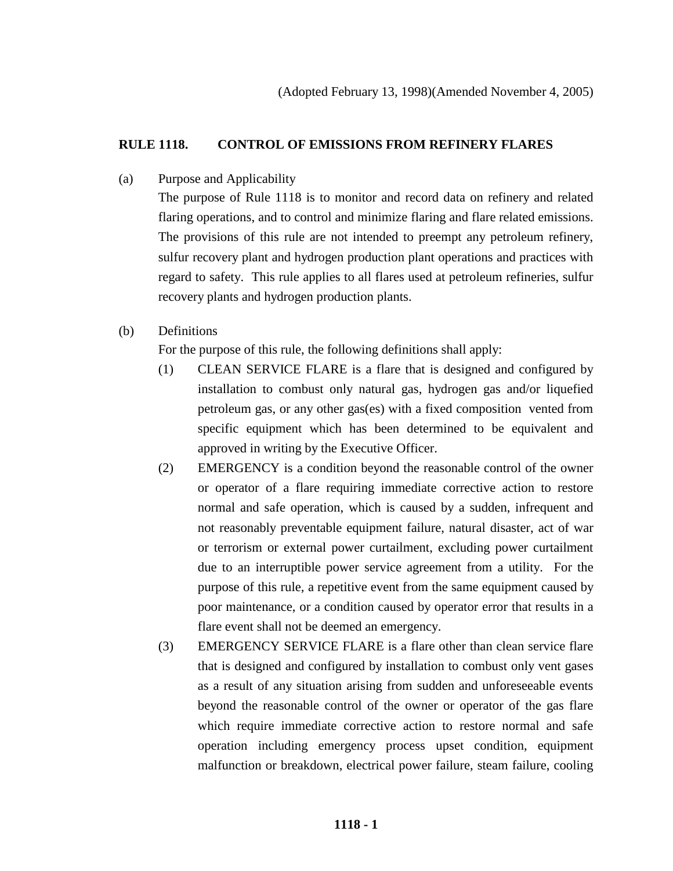## **RULE 1118. CONTROL OF EMISSIONS FROM REFINERY FLARES**

(a) Purpose and Applicability

The purpose of Rule 1118 is to monitor and record data on refinery and related flaring operations, and to control and minimize flaring and flare related emissions. The provisions of this rule are not intended to preempt any petroleum refinery, sulfur recovery plant and hydrogen production plant operations and practices with regard to safety. This rule applies to all flares used at petroleum refineries, sulfur recovery plants and hydrogen production plants.

(b) Definitions

For the purpose of this rule, the following definitions shall apply:

- (1) CLEAN SERVICE FLARE is a flare that is designed and configured by installation to combust only natural gas, hydrogen gas and/or liquefied petroleum gas, or any other gas(es) with a fixed composition vented from specific equipment which has been determined to be equivalent and approved in writing by the Executive Officer.
- (2) EMERGENCY is a condition beyond the reasonable control of the owner or operator of a flare requiring immediate corrective action to restore normal and safe operation, which is caused by a sudden, infrequent and not reasonably preventable equipment failure, natural disaster, act of war or terrorism or external power curtailment, excluding power curtailment due to an interruptible power service agreement from a utility. For the purpose of this rule, a repetitive event from the same equipment caused by poor maintenance, or a condition caused by operator error that results in a flare event shall not be deemed an emergency.
- (3) EMERGENCY SERVICE FLARE is a flare other than clean service flare that is designed and configured by installation to combust only vent gases as a result of any situation arising from sudden and unforeseeable events beyond the reasonable control of the owner or operator of the gas flare which require immediate corrective action to restore normal and safe operation including emergency process upset condition, equipment malfunction or breakdown, electrical power failure, steam failure, cooling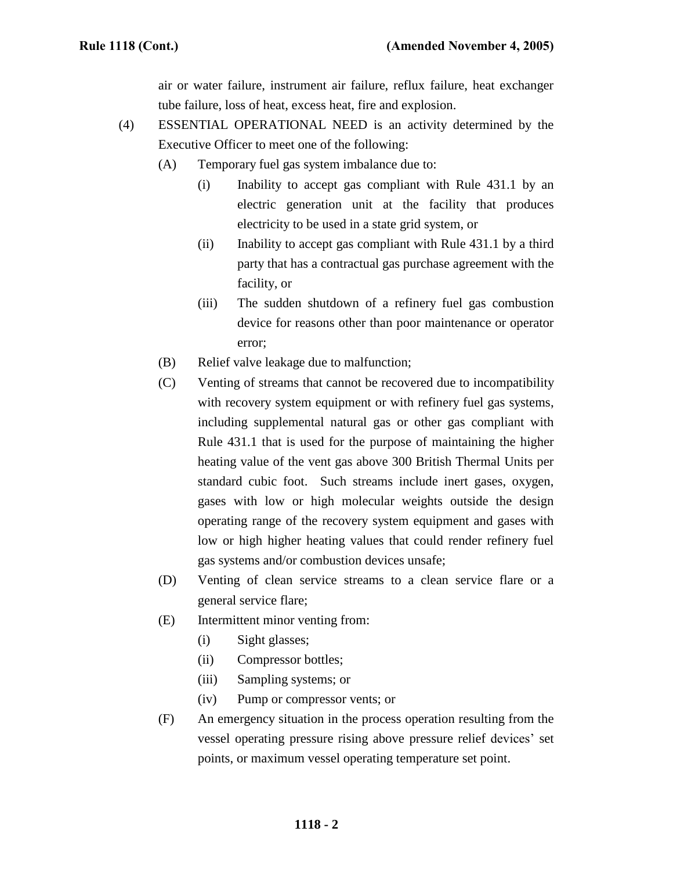air or water failure, instrument air failure, reflux failure, heat exchanger tube failure, loss of heat, excess heat, fire and explosion.

- (4) ESSENTIAL OPERATIONAL NEED is an activity determined by the Executive Officer to meet one of the following:
	- (A) Temporary fuel gas system imbalance due to:
		- (i) Inability to accept gas compliant with Rule 431.1 by an electric generation unit at the facility that produces electricity to be used in a state grid system, or
		- (ii) Inability to accept gas compliant with Rule 431.1 by a third party that has a contractual gas purchase agreement with the facility, or
		- (iii) The sudden shutdown of a refinery fuel gas combustion device for reasons other than poor maintenance or operator error;
	- (B) Relief valve leakage due to malfunction;
	- (C) Venting of streams that cannot be recovered due to incompatibility with recovery system equipment or with refinery fuel gas systems, including supplemental natural gas or other gas compliant with Rule 431.1 that is used for the purpose of maintaining the higher heating value of the vent gas above 300 British Thermal Units per standard cubic foot. Such streams include inert gases, oxygen, gases with low or high molecular weights outside the design operating range of the recovery system equipment and gases with low or high higher heating values that could render refinery fuel gas systems and/or combustion devices unsafe;
	- (D) Venting of clean service streams to a clean service flare or a general service flare;
	- (E) Intermittent minor venting from:
		- (i) Sight glasses;
		- (ii) Compressor bottles;
		- (iii) Sampling systems; or
		- (iv) Pump or compressor vents; or
	- (F) An emergency situation in the process operation resulting from the vessel operating pressure rising above pressure relief devices' set points, or maximum vessel operating temperature set point.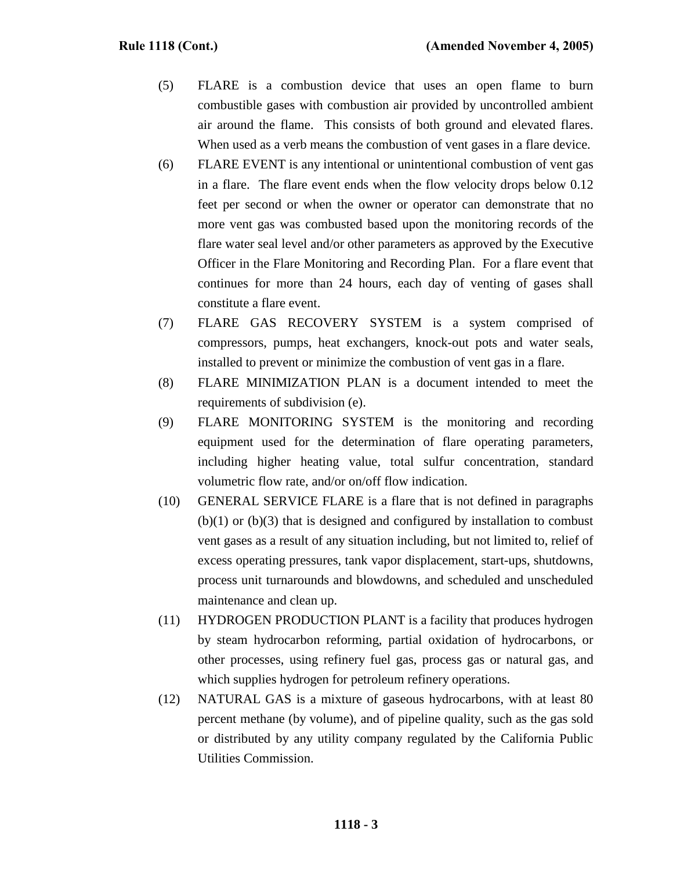- (5) FLARE is a combustion device that uses an open flame to burn combustible gases with combustion air provided by uncontrolled ambient air around the flame. This consists of both ground and elevated flares. When used as a verb means the combustion of vent gases in a flare device.
- (6) FLARE EVENT is any intentional or unintentional combustion of vent gas in a flare. The flare event ends when the flow velocity drops below 0.12 feet per second or when the owner or operator can demonstrate that no more vent gas was combusted based upon the monitoring records of the flare water seal level and/or other parameters as approved by the Executive Officer in the Flare Monitoring and Recording Plan. For a flare event that continues for more than 24 hours, each day of venting of gases shall constitute a flare event.
- (7) FLARE GAS RECOVERY SYSTEM is a system comprised of compressors, pumps, heat exchangers, knock-out pots and water seals, installed to prevent or minimize the combustion of vent gas in a flare.
- (8) FLARE MINIMIZATION PLAN is a document intended to meet the requirements of subdivision (e).
- (9) FLARE MONITORING SYSTEM is the monitoring and recording equipment used for the determination of flare operating parameters, including higher heating value, total sulfur concentration, standard volumetric flow rate, and/or on/off flow indication.
- (10) GENERAL SERVICE FLARE is a flare that is not defined in paragraphs  $(b)(1)$  or  $(b)(3)$  that is designed and configured by installation to combust vent gases as a result of any situation including, but not limited to, relief of excess operating pressures, tank vapor displacement, start-ups, shutdowns, process unit turnarounds and blowdowns, and scheduled and unscheduled maintenance and clean up.
- (11) HYDROGEN PRODUCTION PLANT is a facility that produces hydrogen by steam hydrocarbon reforming, partial oxidation of hydrocarbons, or other processes, using refinery fuel gas, process gas or natural gas, and which supplies hydrogen for petroleum refinery operations.
- (12) NATURAL GAS is a mixture of gaseous hydrocarbons, with at least 80 percent methane (by volume), and of pipeline quality, such as the gas sold or distributed by any utility company regulated by the California Public Utilities Commission.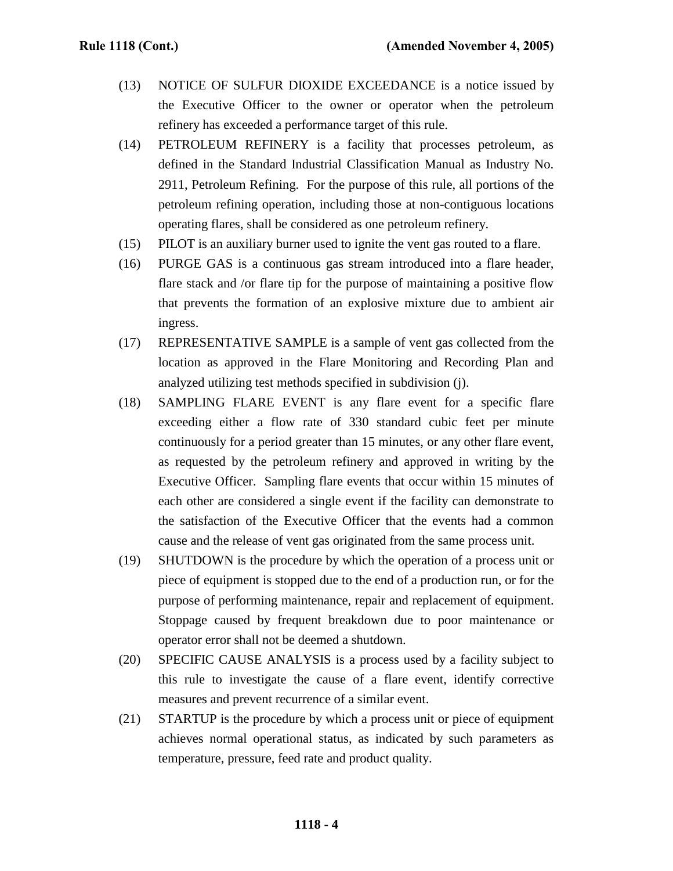- (13) NOTICE OF SULFUR DIOXIDE EXCEEDANCE is a notice issued by the Executive Officer to the owner or operator when the petroleum refinery has exceeded a performance target of this rule.
- (14) PETROLEUM REFINERY is a facility that processes petroleum, as defined in the Standard Industrial Classification Manual as Industry No. 2911, Petroleum Refining. For the purpose of this rule, all portions of the petroleum refining operation, including those at non-contiguous locations operating flares, shall be considered as one petroleum refinery.
- (15) PILOT is an auxiliary burner used to ignite the vent gas routed to a flare.
- (16) PURGE GAS is a continuous gas stream introduced into a flare header, flare stack and /or flare tip for the purpose of maintaining a positive flow that prevents the formation of an explosive mixture due to ambient air ingress.
- (17) REPRESENTATIVE SAMPLE is a sample of vent gas collected from the location as approved in the Flare Monitoring and Recording Plan and analyzed utilizing test methods specified in subdivision (j).
- (18) SAMPLING FLARE EVENT is any flare event for a specific flare exceeding either a flow rate of 330 standard cubic feet per minute continuously for a period greater than 15 minutes, or any other flare event, as requested by the petroleum refinery and approved in writing by the Executive Officer. Sampling flare events that occur within 15 minutes of each other are considered a single event if the facility can demonstrate to the satisfaction of the Executive Officer that the events had a common cause and the release of vent gas originated from the same process unit.
- (19) SHUTDOWN is the procedure by which the operation of a process unit or piece of equipment is stopped due to the end of a production run, or for the purpose of performing maintenance, repair and replacement of equipment. Stoppage caused by frequent breakdown due to poor maintenance or operator error shall not be deemed a shutdown.
- (20) SPECIFIC CAUSE ANALYSIS is a process used by a facility subject to this rule to investigate the cause of a flare event, identify corrective measures and prevent recurrence of a similar event.
- (21) STARTUP is the procedure by which a process unit or piece of equipment achieves normal operational status, as indicated by such parameters as temperature, pressure, feed rate and product quality.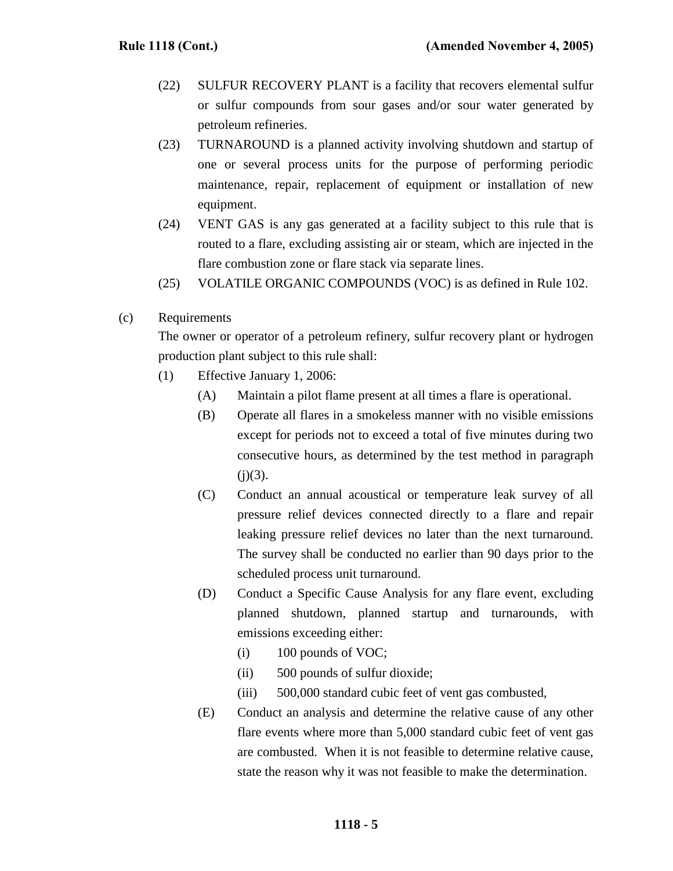- (22) SULFUR RECOVERY PLANT is a facility that recovers elemental sulfur or sulfur compounds from sour gases and/or sour water generated by petroleum refineries.
- (23) TURNAROUND is a planned activity involving shutdown and startup of one or several process units for the purpose of performing periodic maintenance, repair, replacement of equipment or installation of new equipment.
- (24) VENT GAS is any gas generated at a facility subject to this rule that is routed to a flare, excluding assisting air or steam, which are injected in the flare combustion zone or flare stack via separate lines.
- (25) VOLATILE ORGANIC COMPOUNDS (VOC) is as defined in Rule 102.
- (c) Requirements

The owner or operator of a petroleum refinery, sulfur recovery plant or hydrogen production plant subject to this rule shall:

- (1) Effective January 1, 2006:
	- (A) Maintain a pilot flame present at all times a flare is operational.
	- (B) Operate all flares in a smokeless manner with no visible emissions except for periods not to exceed a total of five minutes during two consecutive hours, as determined by the test method in paragraph  $(j)(3)$ .
	- (C) Conduct an annual acoustical or temperature leak survey of all pressure relief devices connected directly to a flare and repair leaking pressure relief devices no later than the next turnaround. The survey shall be conducted no earlier than 90 days prior to the scheduled process unit turnaround.
	- (D) Conduct a Specific Cause Analysis for any flare event, excluding planned shutdown, planned startup and turnarounds, with emissions exceeding either:
		- (i) 100 pounds of VOC;
		- (ii) 500 pounds of sulfur dioxide;
		- (iii) 500,000 standard cubic feet of vent gas combusted,
	- (E) Conduct an analysis and determine the relative cause of any other flare events where more than 5,000 standard cubic feet of vent gas are combusted. When it is not feasible to determine relative cause, state the reason why it was not feasible to make the determination.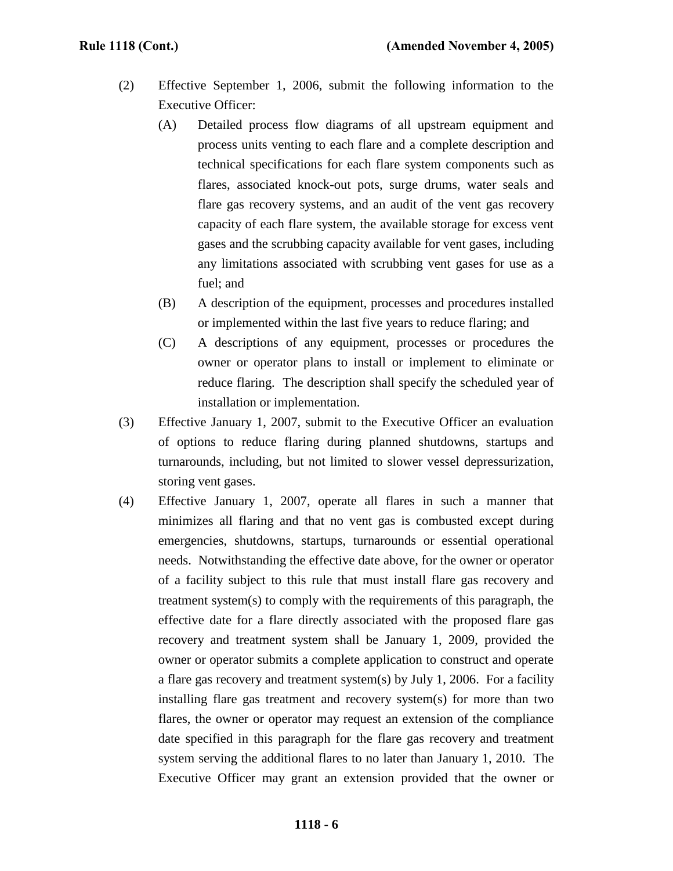- (2) Effective September 1, 2006, submit the following information to the Executive Officer:
	- (A) Detailed process flow diagrams of all upstream equipment and process units venting to each flare and a complete description and technical specifications for each flare system components such as flares, associated knock-out pots, surge drums, water seals and flare gas recovery systems, and an audit of the vent gas recovery capacity of each flare system, the available storage for excess vent gases and the scrubbing capacity available for vent gases, including any limitations associated with scrubbing vent gases for use as a fuel; and
	- (B) A description of the equipment, processes and procedures installed or implemented within the last five years to reduce flaring; and
	- (C) A descriptions of any equipment, processes or procedures the owner or operator plans to install or implement to eliminate or reduce flaring. The description shall specify the scheduled year of installation or implementation.
- (3) Effective January 1, 2007, submit to the Executive Officer an evaluation of options to reduce flaring during planned shutdowns, startups and turnarounds, including, but not limited to slower vessel depressurization, storing vent gases.
- (4) Effective January 1, 2007, operate all flares in such a manner that minimizes all flaring and that no vent gas is combusted except during emergencies, shutdowns, startups, turnarounds or essential operational needs. Notwithstanding the effective date above, for the owner or operator of a facility subject to this rule that must install flare gas recovery and treatment system(s) to comply with the requirements of this paragraph, the effective date for a flare directly associated with the proposed flare gas recovery and treatment system shall be January 1, 2009, provided the owner or operator submits a complete application to construct and operate a flare gas recovery and treatment system(s) by July 1, 2006. For a facility installing flare gas treatment and recovery system(s) for more than two flares, the owner or operator may request an extension of the compliance date specified in this paragraph for the flare gas recovery and treatment system serving the additional flares to no later than January 1, 2010. The Executive Officer may grant an extension provided that the owner or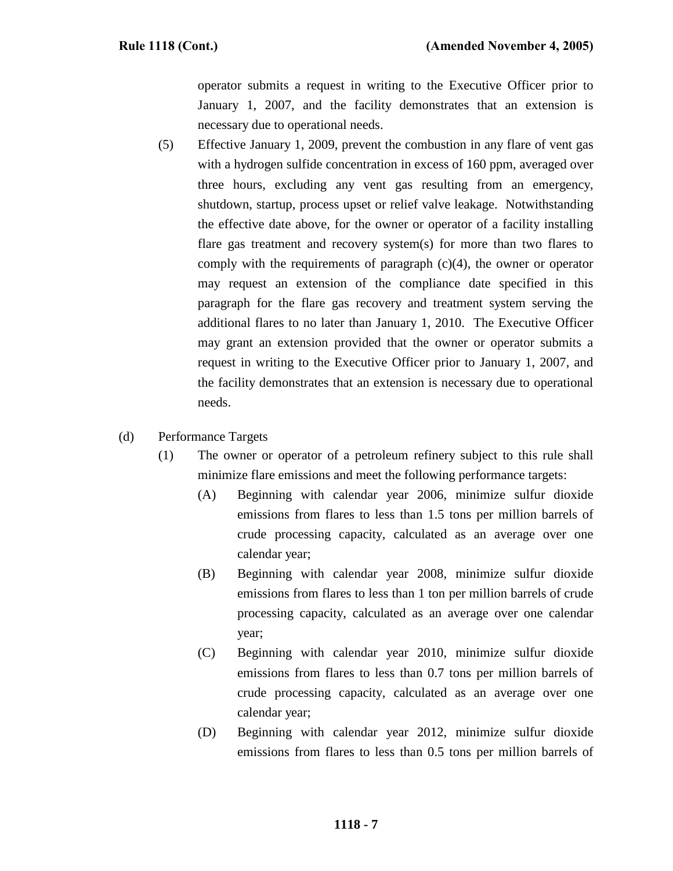operator submits a request in writing to the Executive Officer prior to January 1, 2007, and the facility demonstrates that an extension is necessary due to operational needs.

- (5) Effective January 1, 2009, prevent the combustion in any flare of vent gas with a hydrogen sulfide concentration in excess of 160 ppm, averaged over three hours, excluding any vent gas resulting from an emergency, shutdown, startup, process upset or relief valve leakage. Notwithstanding the effective date above, for the owner or operator of a facility installing flare gas treatment and recovery system(s) for more than two flares to comply with the requirements of paragraph  $(c)(4)$ , the owner or operator may request an extension of the compliance date specified in this paragraph for the flare gas recovery and treatment system serving the additional flares to no later than January 1, 2010. The Executive Officer may grant an extension provided that the owner or operator submits a request in writing to the Executive Officer prior to January 1, 2007, and the facility demonstrates that an extension is necessary due to operational needs.
- (d) Performance Targets
	- (1) The owner or operator of a petroleum refinery subject to this rule shall minimize flare emissions and meet the following performance targets:
		- (A) Beginning with calendar year 2006, minimize sulfur dioxide emissions from flares to less than 1.5 tons per million barrels of crude processing capacity, calculated as an average over one calendar year;
		- (B) Beginning with calendar year 2008, minimize sulfur dioxide emissions from flares to less than 1 ton per million barrels of crude processing capacity, calculated as an average over one calendar year;
		- (C) Beginning with calendar year 2010, minimize sulfur dioxide emissions from flares to less than 0.7 tons per million barrels of crude processing capacity, calculated as an average over one calendar year;
		- (D) Beginning with calendar year 2012, minimize sulfur dioxide emissions from flares to less than 0.5 tons per million barrels of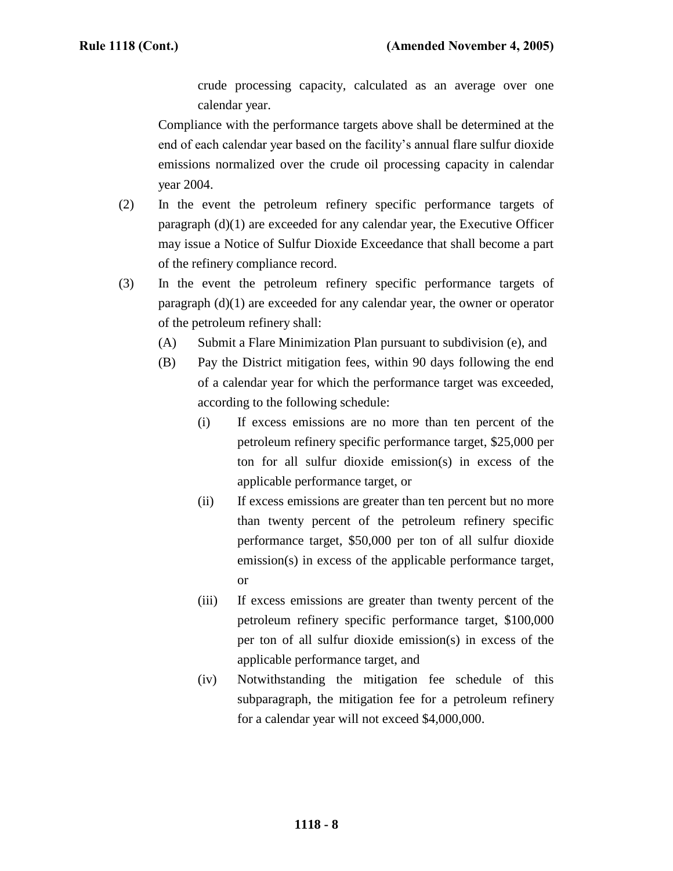crude processing capacity, calculated as an average over one calendar year.

Compliance with the performance targets above shall be determined at the end of each calendar year based on the facility's annual flare sulfur dioxide emissions normalized over the crude oil processing capacity in calendar year 2004.

- (2) In the event the petroleum refinery specific performance targets of paragraph  $(d)(1)$  are exceeded for any calendar year, the Executive Officer may issue a Notice of Sulfur Dioxide Exceedance that shall become a part of the refinery compliance record.
- (3) In the event the petroleum refinery specific performance targets of paragraph  $(d)(1)$  are exceeded for any calendar year, the owner or operator of the petroleum refinery shall:
	- (A) Submit a Flare Minimization Plan pursuant to subdivision (e), and
	- (B) Pay the District mitigation fees, within 90 days following the end of a calendar year for which the performance target was exceeded, according to the following schedule:
		- (i) If excess emissions are no more than ten percent of the petroleum refinery specific performance target, \$25,000 per ton for all sulfur dioxide emission(s) in excess of the applicable performance target, or
		- (ii) If excess emissions are greater than ten percent but no more than twenty percent of the petroleum refinery specific performance target, \$50,000 per ton of all sulfur dioxide emission(s) in excess of the applicable performance target, or
		- (iii) If excess emissions are greater than twenty percent of the petroleum refinery specific performance target, \$100,000 per ton of all sulfur dioxide emission(s) in excess of the applicable performance target, and
		- (iv) Notwithstanding the mitigation fee schedule of this subparagraph, the mitigation fee for a petroleum refinery for a calendar year will not exceed \$4,000,000.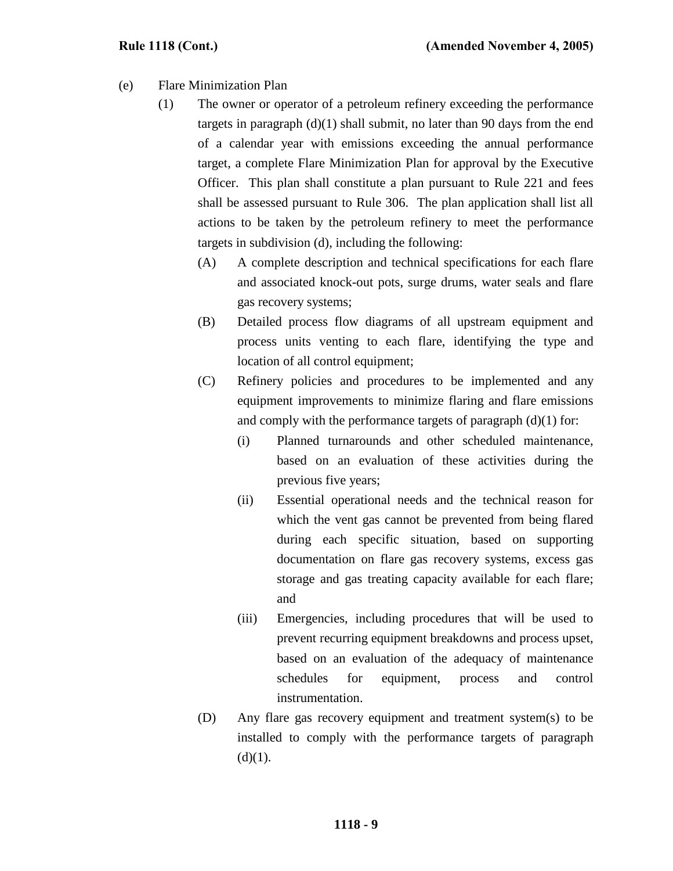- (e) Flare Minimization Plan
	- (1) The owner or operator of a petroleum refinery exceeding the performance targets in paragraph  $(d)(1)$  shall submit, no later than 90 days from the end of a calendar year with emissions exceeding the annual performance target, a complete Flare Minimization Plan for approval by the Executive Officer. This plan shall constitute a plan pursuant to Rule 221 and fees shall be assessed pursuant to Rule 306. The plan application shall list all actions to be taken by the petroleum refinery to meet the performance targets in subdivision (d), including the following:
		- (A) A complete description and technical specifications for each flare and associated knock-out pots, surge drums, water seals and flare gas recovery systems;
		- (B) Detailed process flow diagrams of all upstream equipment and process units venting to each flare, identifying the type and location of all control equipment;
		- (C) Refinery policies and procedures to be implemented and any equipment improvements to minimize flaring and flare emissions and comply with the performance targets of paragraph  $(d)(1)$  for:
			- (i) Planned turnarounds and other scheduled maintenance, based on an evaluation of these activities during the previous five years;
			- (ii) Essential operational needs and the technical reason for which the vent gas cannot be prevented from being flared during each specific situation, based on supporting documentation on flare gas recovery systems, excess gas storage and gas treating capacity available for each flare; and
			- (iii) Emergencies, including procedures that will be used to prevent recurring equipment breakdowns and process upset, based on an evaluation of the adequacy of maintenance schedules for equipment, process and control instrumentation.
		- (D) Any flare gas recovery equipment and treatment system(s) to be installed to comply with the performance targets of paragraph  $(d)(1)$ .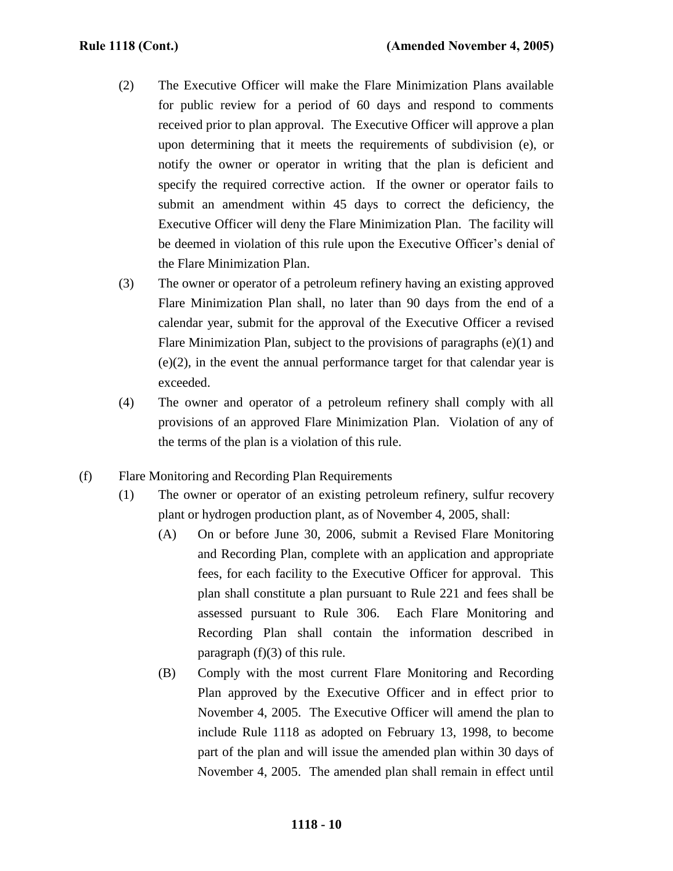- (2) The Executive Officer will make the Flare Minimization Plans available for public review for a period of 60 days and respond to comments received prior to plan approval. The Executive Officer will approve a plan upon determining that it meets the requirements of subdivision (e), or notify the owner or operator in writing that the plan is deficient and specify the required corrective action. If the owner or operator fails to submit an amendment within 45 days to correct the deficiency, the Executive Officer will deny the Flare Minimization Plan. The facility will be deemed in violation of this rule upon the Executive Officer's denial of the Flare Minimization Plan.
- (3) The owner or operator of a petroleum refinery having an existing approved Flare Minimization Plan shall, no later than 90 days from the end of a calendar year, submit for the approval of the Executive Officer a revised Flare Minimization Plan, subject to the provisions of paragraphs (e)(1) and (e)(2), in the event the annual performance target for that calendar year is exceeded.
- (4) The owner and operator of a petroleum refinery shall comply with all provisions of an approved Flare Minimization Plan. Violation of any of the terms of the plan is a violation of this rule.
- (f) Flare Monitoring and Recording Plan Requirements
	- (1) The owner or operator of an existing petroleum refinery, sulfur recovery plant or hydrogen production plant, as of November 4, 2005, shall:
		- (A) On or before June 30, 2006, submit a Revised Flare Monitoring and Recording Plan, complete with an application and appropriate fees, for each facility to the Executive Officer for approval. This plan shall constitute a plan pursuant to Rule 221 and fees shall be assessed pursuant to Rule 306. Each Flare Monitoring and Recording Plan shall contain the information described in paragraph  $(f)(3)$  of this rule.
		- (B) Comply with the most current Flare Monitoring and Recording Plan approved by the Executive Officer and in effect prior to November 4, 2005. The Executive Officer will amend the plan to include Rule 1118 as adopted on February 13, 1998, to become part of the plan and will issue the amended plan within 30 days of November 4, 2005. The amended plan shall remain in effect until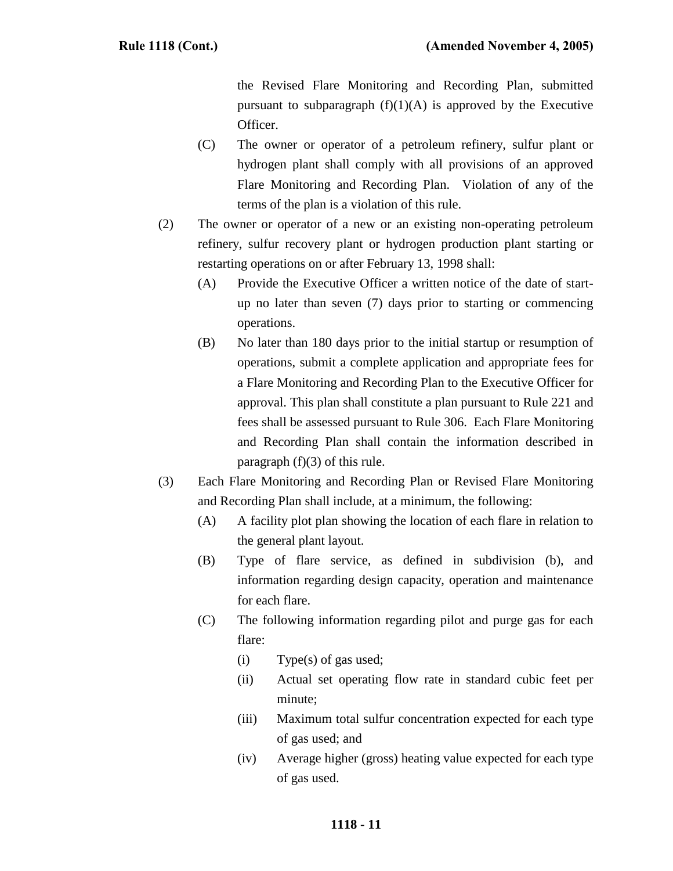the Revised Flare Monitoring and Recording Plan, submitted pursuant to subparagraph  $(f)(1)(A)$  is approved by the Executive Officer.

- (C) The owner or operator of a petroleum refinery, sulfur plant or hydrogen plant shall comply with all provisions of an approved Flare Monitoring and Recording Plan. Violation of any of the terms of the plan is a violation of this rule.
- (2) The owner or operator of a new or an existing non-operating petroleum refinery, sulfur recovery plant or hydrogen production plant starting or restarting operations on or after February 13, 1998 shall:
	- (A) Provide the Executive Officer a written notice of the date of startup no later than seven (7) days prior to starting or commencing operations.
	- (B) No later than 180 days prior to the initial startup or resumption of operations, submit a complete application and appropriate fees for a Flare Monitoring and Recording Plan to the Executive Officer for approval. This plan shall constitute a plan pursuant to Rule 221 and fees shall be assessed pursuant to Rule 306. Each Flare Monitoring and Recording Plan shall contain the information described in paragraph  $(f)(3)$  of this rule.
- (3) Each Flare Monitoring and Recording Plan or Revised Flare Monitoring and Recording Plan shall include, at a minimum, the following:
	- (A) A facility plot plan showing the location of each flare in relation to the general plant layout.
	- (B) Type of flare service, as defined in subdivision (b), and information regarding design capacity, operation and maintenance for each flare.
	- (C) The following information regarding pilot and purge gas for each flare:
		- (i) Type(s) of gas used;
		- (ii) Actual set operating flow rate in standard cubic feet per minute;
		- (iii) Maximum total sulfur concentration expected for each type of gas used; and
		- (iv) Average higher (gross) heating value expected for each type of gas used.

### **1118 - 11**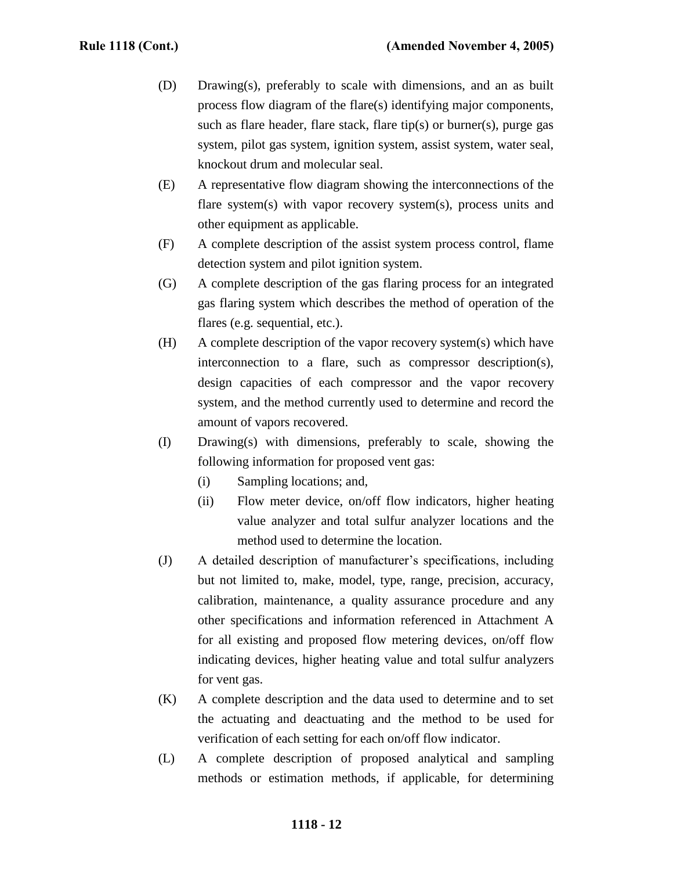- (D) Drawing(s), preferably to scale with dimensions, and an as built process flow diagram of the flare(s) identifying major components, such as flare header, flare stack, flare tip(s) or burner(s), purge gas system, pilot gas system, ignition system, assist system, water seal, knockout drum and molecular seal.
- (E) A representative flow diagram showing the interconnections of the flare system(s) with vapor recovery system(s), process units and other equipment as applicable.
- (F) A complete description of the assist system process control, flame detection system and pilot ignition system.
- (G) A complete description of the gas flaring process for an integrated gas flaring system which describes the method of operation of the flares (e.g. sequential, etc.).
- (H) A complete description of the vapor recovery system(s) which have interconnection to a flare, such as compressor description(s), design capacities of each compressor and the vapor recovery system, and the method currently used to determine and record the amount of vapors recovered.
- (I) Drawing(s) with dimensions, preferably to scale, showing the following information for proposed vent gas:
	- (i) Sampling locations; and,
	- (ii) Flow meter device, on/off flow indicators, higher heating value analyzer and total sulfur analyzer locations and the method used to determine the location.
- (J) A detailed description of manufacturer's specifications, including but not limited to, make, model, type, range, precision, accuracy, calibration, maintenance, a quality assurance procedure and any other specifications and information referenced in Attachment A for all existing and proposed flow metering devices, on/off flow indicating devices, higher heating value and total sulfur analyzers for vent gas.
- (K) A complete description and the data used to determine and to set the actuating and deactuating and the method to be used for verification of each setting for each on/off flow indicator.
- (L) A complete description of proposed analytical and sampling methods or estimation methods, if applicable, for determining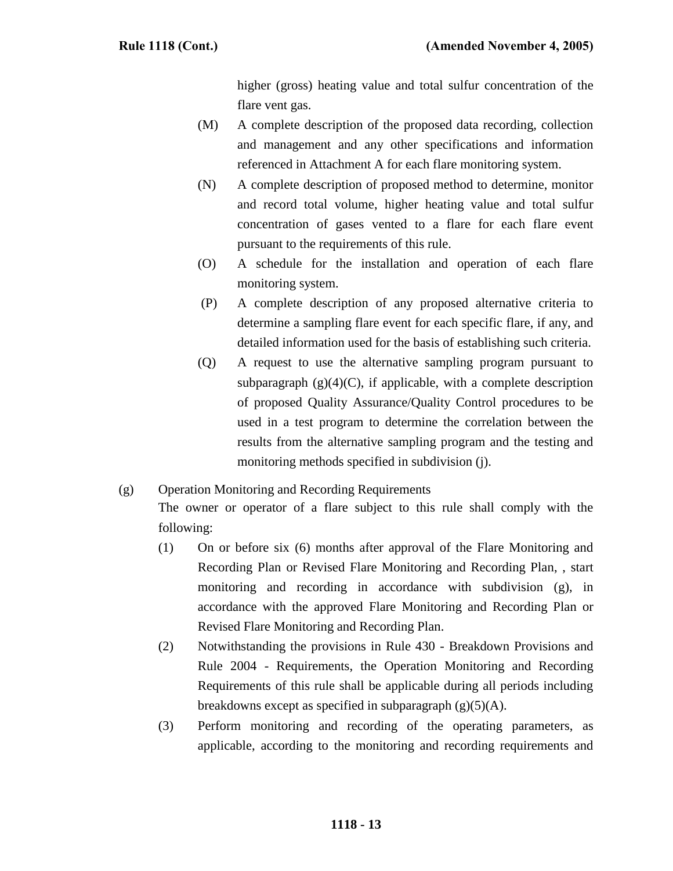higher (gross) heating value and total sulfur concentration of the flare vent gas.

- (M) A complete description of the proposed data recording, collection and management and any other specifications and information referenced in Attachment A for each flare monitoring system.
- (N) A complete description of proposed method to determine, monitor and record total volume, higher heating value and total sulfur concentration of gases vented to a flare for each flare event pursuant to the requirements of this rule.
- (O) A schedule for the installation and operation of each flare monitoring system.
- (P) A complete description of any proposed alternative criteria to determine a sampling flare event for each specific flare, if any, and detailed information used for the basis of establishing such criteria.
- (Q) A request to use the alternative sampling program pursuant to subparagraph  $(g)(4)(C)$ , if applicable, with a complete description of proposed Quality Assurance/Quality Control procedures to be used in a test program to determine the correlation between the results from the alternative sampling program and the testing and monitoring methods specified in subdivision (j).

## (g) Operation Monitoring and Recording Requirements

The owner or operator of a flare subject to this rule shall comply with the following:

- (1) On or before six (6) months after approval of the Flare Monitoring and Recording Plan or Revised Flare Monitoring and Recording Plan, , start monitoring and recording in accordance with subdivision (g), in accordance with the approved Flare Monitoring and Recording Plan or Revised Flare Monitoring and Recording Plan.
- (2) Notwithstanding the provisions in Rule 430 Breakdown Provisions and Rule 2004 - Requirements, the Operation Monitoring and Recording Requirements of this rule shall be applicable during all periods including breakdowns except as specified in subparagraph  $(g)(5)(A)$ .
- (3) Perform monitoring and recording of the operating parameters, as applicable, according to the monitoring and recording requirements and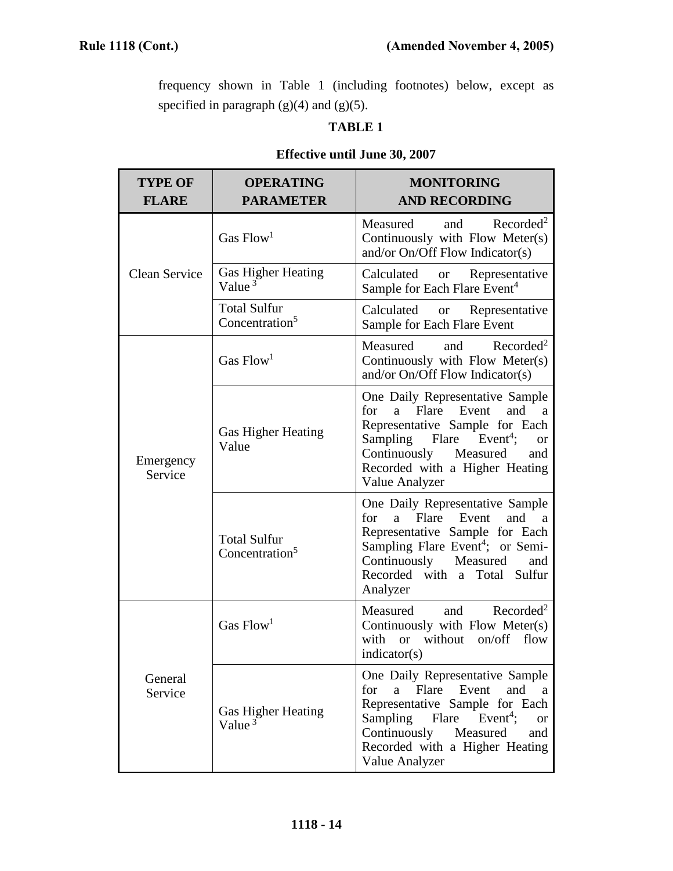frequency shown in Table 1 (including footnotes) below, except as specified in paragraph  $(g)(4)$  and  $(g)(5)$ .

# **TABLE 1**

# **Effective until June 30, 2007**

| <b>TYPE OF</b><br><b>FLARE</b> | <b>OPERATING</b><br><b>PARAMETER</b>              | <b>MONITORING</b><br><b>AND RECORDING</b>                                                                                                                                                                                                                               |
|--------------------------------|---------------------------------------------------|-------------------------------------------------------------------------------------------------------------------------------------------------------------------------------------------------------------------------------------------------------------------------|
| Clean Service                  | Gas $Flow1$                                       | Recorded <sup>2</sup><br>and<br>Measured<br>Continuously with Flow Meter(s)<br>and/or On/Off Flow Indicator(s)                                                                                                                                                          |
|                                | <b>Gas Higher Heating</b><br>Value $3^7$          | Calculated<br>Representative<br><sub>or</sub><br>Sample for Each Flare Event <sup>4</sup>                                                                                                                                                                               |
|                                | <b>Total Sulfur</b><br>Concentration <sup>5</sup> | Calculated or<br>Representative<br>Sample for Each Flare Event                                                                                                                                                                                                          |
|                                | Gas $Flow1$                                       | Recorded <sup>2</sup><br>and<br>Measured<br>Continuously with Flow Meter(s)<br>and/or $On/Off$ Flow Indicator(s)                                                                                                                                                        |
| Emergency<br>Service           | <b>Gas Higher Heating</b><br>Value                | One Daily Representative Sample<br>Flare<br>Event<br>and<br>for<br>$\mathbf{a}$<br>a<br>Representative Sample for Each<br>Sampling Flare Event <sup>4</sup> ;<br><b>or</b><br>Continuously Measured<br>and<br>Recorded with a Higher Heating<br><b>Value Analyzer</b>   |
|                                | <b>Total Sulfur</b><br>Concentration <sup>5</sup> | One Daily Representative Sample<br>for<br>a Flare<br>Event<br>and a<br>Representative Sample for Each<br>Sampling Flare Event <sup>4</sup> ; or Semi-<br>Continuously Measured<br>and<br>Recorded with a Total<br>Sulfur<br>Analyzer                                    |
|                                | Gas $Flow1$                                       | and $\qquad$ Recorded <sup>2</sup><br>Measured<br>Continuously with Flow Meter(s)<br>without<br>on/off flow<br>with<br><sub>or</sub><br>indication(s)                                                                                                                   |
| General<br>Service             | <b>Gas Higher Heating</b><br>Value $3$            | One Daily Representative Sample<br>a Flare<br>Event<br>and<br>for<br>a<br>Representative Sample for Each<br>Flare<br>Event <sup>4</sup> ;<br><b>Sampling</b><br><b>or</b><br>Continuously<br>Measured<br>and<br>Recorded with a Higher Heating<br><b>Value Analyzer</b> |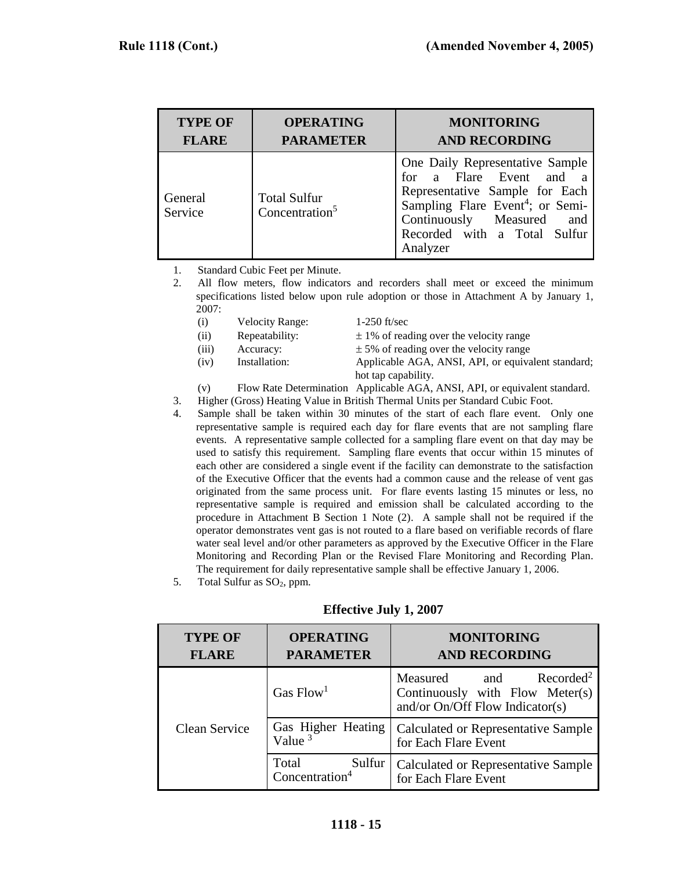| <b>TYPE OF</b>     | <b>OPERATING</b>                         | <b>MONITORING</b>                                                                                                                                                                                                     |
|--------------------|------------------------------------------|-----------------------------------------------------------------------------------------------------------------------------------------------------------------------------------------------------------------------|
| <b>FLARE</b>       | <b>PARAMETER</b>                         | <b>AND RECORDING</b>                                                                                                                                                                                                  |
| General<br>Service | <b>Total Sulfur</b><br>Concentration $5$ | One Daily Representative Sample<br>for a Flare Event and a<br>Representative Sample for Each<br>Sampling Flare Event <sup>4</sup> ; or Semi-<br>Continuously Measured and<br>Recorded with a Total Sulfur<br>Analyzer |

1. Standard Cubic Feet per Minute.

2. All flow meters, flow indicators and recorders shall meet or exceed the minimum specifications listed below upon rule adoption or those in Attachment A by January 1, 2007:

| (i)   | <b>Velocity Range:</b> | $1-250$ ft/sec                                     |
|-------|------------------------|----------------------------------------------------|
| (ii)  | Repeatability:         | $\pm$ 1% of reading over the velocity range        |
| (iii) | Accuracy:              | $\pm$ 5% of reading over the velocity range        |
| (iv)  | Installation:          | Applicable AGA, ANSI, API, or equivalent standard; |
|       |                        | hot tap capability.                                |
|       |                        |                                                    |

- (v) Flow Rate Determination Applicable AGA, ANSI, API, or equivalent standard.
- 3. Higher (Gross) Heating Value in British Thermal Units per Standard Cubic Foot.
- 4. Sample shall be taken within 30 minutes of the start of each flare event. Only one representative sample is required each day for flare events that are not sampling flare events. A representative sample collected for a sampling flare event on that day may be used to satisfy this requirement. Sampling flare events that occur within 15 minutes of each other are considered a single event if the facility can demonstrate to the satisfaction of the Executive Officer that the events had a common cause and the release of vent gas originated from the same process unit. For flare events lasting 15 minutes or less, no representative sample is required and emission shall be calculated according to the procedure in Attachment B Section 1 Note (2). A sample shall not be required if the operator demonstrates vent gas is not routed to a flare based on verifiable records of flare water seal level and/or other parameters as approved by the Executive Officer in the Flare Monitoring and Recording Plan or the Revised Flare Monitoring and Recording Plan. The requirement for daily representative sample shall be effective January 1, 2006.
- 5. Total Sulfur as  $SO_2$ , ppm.

| <b>Effective July 1, 2007</b> |  |
|-------------------------------|--|
|-------------------------------|--|

| <b>TYPE OF</b><br><b>FLARE</b> | <b>OPERATING</b><br><b>PARAMETER</b>          | <b>MONITORING</b><br><b>AND RECORDING</b>                                                                      |
|--------------------------------|-----------------------------------------------|----------------------------------------------------------------------------------------------------------------|
|                                | Gas $Flow1$                                   | Recorded <sup>2</sup><br>Measured<br>and<br>Continuously with Flow Meter(s)<br>and/or On/Off Flow Indicator(s) |
| Clean Service                  | Gas Higher Heating<br>Value <sup>3</sup>      | Calculated or Representative Sample<br>for Each Flare Event                                                    |
|                                | Sulfur<br>Total<br>Concentration <sup>4</sup> | Calculated or Representative Sample<br>for Each Flare Event                                                    |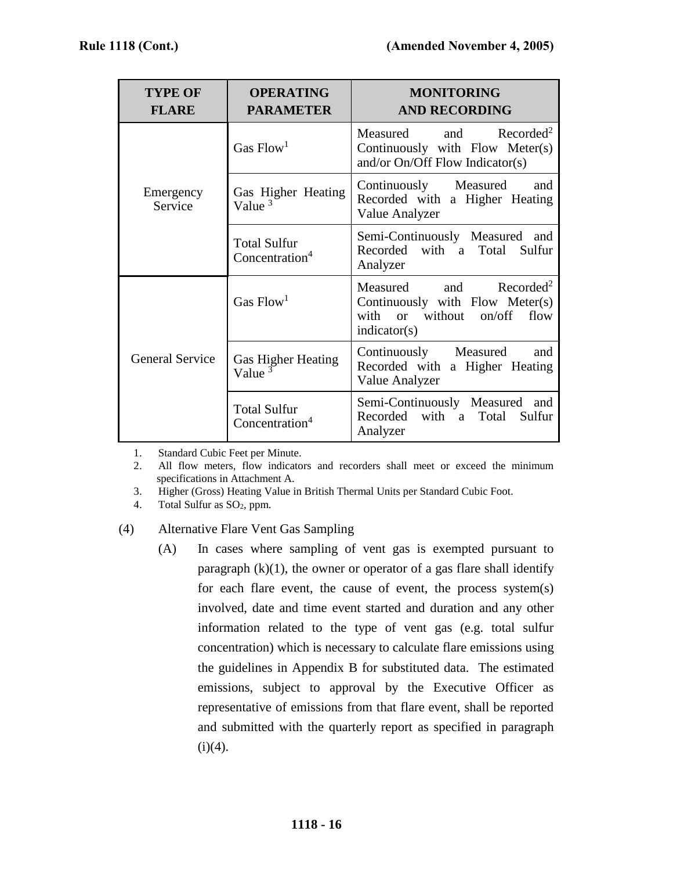| <b>TYPE OF</b><br><b>FLARE</b> | <b>OPERATING</b><br><b>PARAMETER</b>              | <b>MONITORING</b><br><b>AND RECORDING</b>                                                                                                                                                                                                                                                                                                                                                                                   |
|--------------------------------|---------------------------------------------------|-----------------------------------------------------------------------------------------------------------------------------------------------------------------------------------------------------------------------------------------------------------------------------------------------------------------------------------------------------------------------------------------------------------------------------|
|                                | Gas $Flow1$                                       | and $\qquad$ $\qquad$ $\qquad$ $\qquad$ $\qquad$ $\qquad$ $\qquad$ $\qquad$ $\qquad$ $\qquad$ $\qquad$ $\qquad$ $\qquad$ $\qquad$ $\qquad$ $\qquad$ $\qquad$ $\qquad$ $\qquad$ $\qquad$ $\qquad$ $\qquad$ $\qquad$ $\qquad$ $\qquad$ $\qquad$ $\qquad$ $\qquad$ $\qquad$ $\qquad$ $\qquad$ $\qquad$ $\qquad$ $\qquad$ $\qquad$ $\qquad$<br>Measured<br>Continuously with Flow Meter(s)<br>and/or $On/Off$ Flow Indicator(s) |
| Emergency<br>Service           | Gas Higher Heating<br>Value $3$                   | Continuously Measured<br>and<br>Recorded with a Higher Heating<br>Value Analyzer                                                                                                                                                                                                                                                                                                                                            |
|                                | <b>Total Sulfur</b><br>Concentration <sup>4</sup> | Semi-Continuously Measured and<br>Recorded with a Total<br>Sulfur<br>Analyzer                                                                                                                                                                                                                                                                                                                                               |
|                                | Gas $Flow1$                                       | Recorded <sup>2</sup><br>Measured<br>and<br>Continuously with Flow Meter(s)<br>without on/off<br>with or<br>flow<br>indication(s)                                                                                                                                                                                                                                                                                           |
| <b>General Service</b>         | <b>Gas Higher Heating</b><br>Value $3$            | Continuously Measured<br>and<br>Recorded with a Higher Heating<br>Value Analyzer                                                                                                                                                                                                                                                                                                                                            |
|                                | <b>Total Sulfur</b><br>Concentration <sup>4</sup> | Semi-Continuously Measured and<br>Recorded with a<br>Total<br>Sulfur<br>Analyzer                                                                                                                                                                                                                                                                                                                                            |

1. Standard Cubic Feet per Minute.

2. All flow meters, flow indicators and recorders shall meet or exceed the minimum specifications in Attachment A.

3. Higher (Gross) Heating Value in British Thermal Units per Standard Cubic Foot.

4. Total Sulfur as  $SO_2$ , ppm.

(4) Alternative Flare Vent Gas Sampling

(A) In cases where sampling of vent gas is exempted pursuant to paragraph  $(k)(1)$ , the owner or operator of a gas flare shall identify for each flare event, the cause of event, the process system(s) involved, date and time event started and duration and any other information related to the type of vent gas (e.g. total sulfur concentration) which is necessary to calculate flare emissions using the guidelines in Appendix B for substituted data. The estimated emissions, subject to approval by the Executive Officer as representative of emissions from that flare event, shall be reported and submitted with the quarterly report as specified in paragraph  $(i)(4)$ .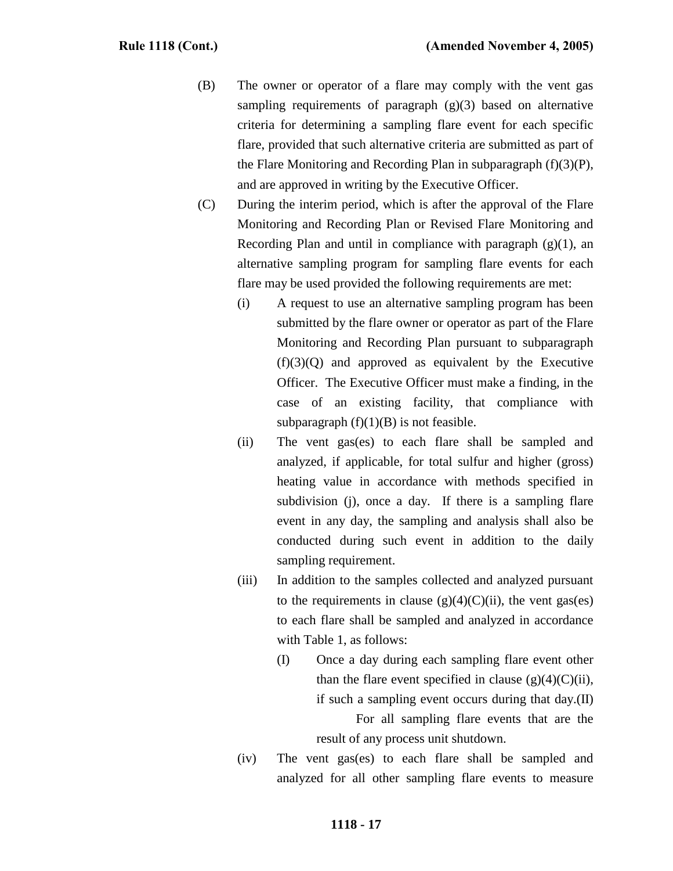- (B) The owner or operator of a flare may comply with the vent gas sampling requirements of paragraph  $(g)(3)$  based on alternative criteria for determining a sampling flare event for each specific flare, provided that such alternative criteria are submitted as part of the Flare Monitoring and Recording Plan in subparagraph (f)(3)(P), and are approved in writing by the Executive Officer.
- (C) During the interim period, which is after the approval of the Flare Monitoring and Recording Plan or Revised Flare Monitoring and Recording Plan and until in compliance with paragraph  $(g)(1)$ , an alternative sampling program for sampling flare events for each flare may be used provided the following requirements are met:
	- (i) A request to use an alternative sampling program has been submitted by the flare owner or operator as part of the Flare Monitoring and Recording Plan pursuant to subparagraph  $(f)(3)(Q)$  and approved as equivalent by the Executive Officer. The Executive Officer must make a finding, in the case of an existing facility, that compliance with subparagraph  $(f)(1)(B)$  is not feasible.
	- (ii) The vent gas(es) to each flare shall be sampled and analyzed, if applicable, for total sulfur and higher (gross) heating value in accordance with methods specified in subdivision (j), once a day. If there is a sampling flare event in any day, the sampling and analysis shall also be conducted during such event in addition to the daily sampling requirement.
	- (iii) In addition to the samples collected and analyzed pursuant to the requirements in clause  $(g)(4)(C)(ii)$ , the vent gas(es) to each flare shall be sampled and analyzed in accordance with Table 1, as follows:
		- (I) Once a day during each sampling flare event other than the flare event specified in clause  $(g)(4)(C)(ii)$ , if such a sampling event occurs during that day.(II) For all sampling flare events that are the

result of any process unit shutdown.

(iv) The vent gas(es) to each flare shall be sampled and analyzed for all other sampling flare events to measure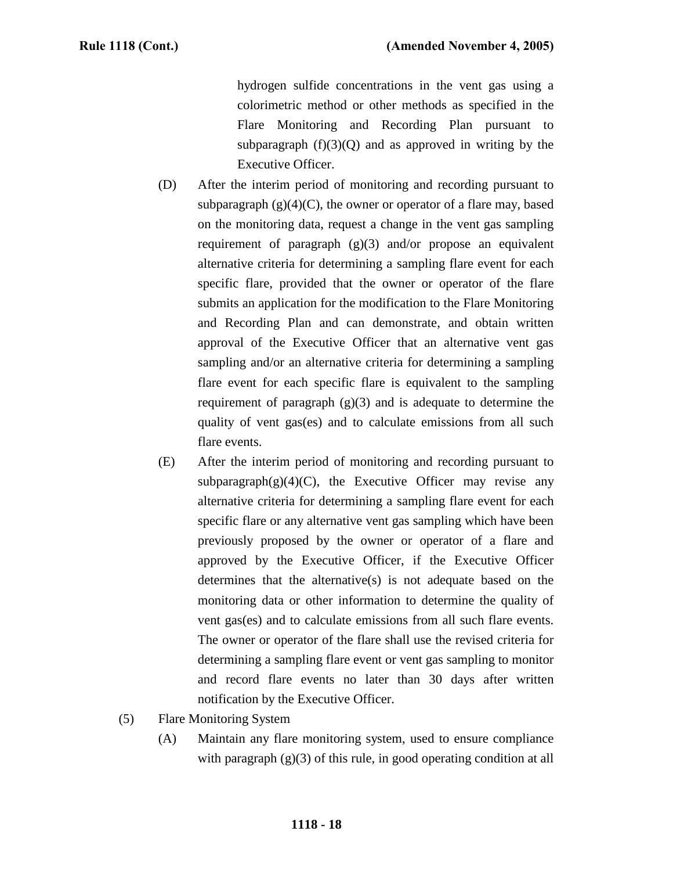hydrogen sulfide concentrations in the vent gas using a colorimetric method or other methods as specified in the Flare Monitoring and Recording Plan pursuant to subparagraph  $(f)(3)(Q)$  and as approved in writing by the Executive Officer.

- (D) After the interim period of monitoring and recording pursuant to subparagraph  $(g)(4)(C)$ , the owner or operator of a flare may, based on the monitoring data, request a change in the vent gas sampling requirement of paragraph (g)(3) and/or propose an equivalent alternative criteria for determining a sampling flare event for each specific flare, provided that the owner or operator of the flare submits an application for the modification to the Flare Monitoring and Recording Plan and can demonstrate, and obtain written approval of the Executive Officer that an alternative vent gas sampling and/or an alternative criteria for determining a sampling flare event for each specific flare is equivalent to the sampling requirement of paragraph  $(g)(3)$  and is adequate to determine the quality of vent gas(es) and to calculate emissions from all such flare events.
- (E) After the interim period of monitoring and recording pursuant to subparagraph $(g)(4)(C)$ , the Executive Officer may revise any alternative criteria for determining a sampling flare event for each specific flare or any alternative vent gas sampling which have been previously proposed by the owner or operator of a flare and approved by the Executive Officer, if the Executive Officer determines that the alternative(s) is not adequate based on the monitoring data or other information to determine the quality of vent gas(es) and to calculate emissions from all such flare events. The owner or operator of the flare shall use the revised criteria for determining a sampling flare event or vent gas sampling to monitor and record flare events no later than 30 days after written notification by the Executive Officer.
- (5) Flare Monitoring System
	- (A) Maintain any flare monitoring system, used to ensure compliance with paragraph  $(g)(3)$  of this rule, in good operating condition at all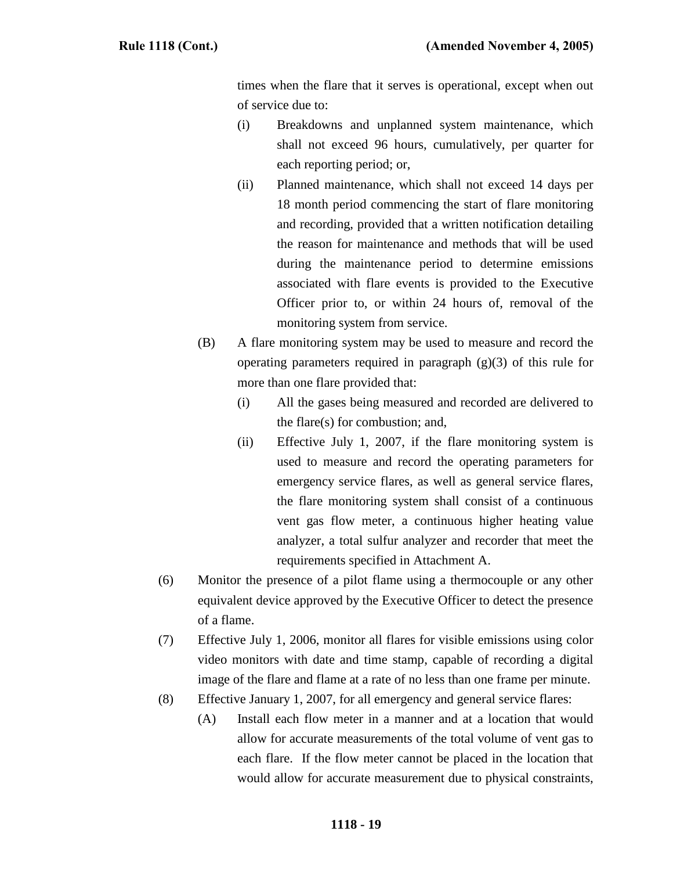times when the flare that it serves is operational, except when out of service due to:

- (i) Breakdowns and unplanned system maintenance, which shall not exceed 96 hours, cumulatively, per quarter for each reporting period; or,
- (ii) Planned maintenance, which shall not exceed 14 days per 18 month period commencing the start of flare monitoring and recording, provided that a written notification detailing the reason for maintenance and methods that will be used during the maintenance period to determine emissions associated with flare events is provided to the Executive Officer prior to, or within 24 hours of, removal of the monitoring system from service.
- (B) A flare monitoring system may be used to measure and record the operating parameters required in paragraph (g)(3) of this rule for more than one flare provided that:
	- (i) All the gases being measured and recorded are delivered to the flare(s) for combustion; and,
	- (ii) Effective July 1, 2007, if the flare monitoring system is used to measure and record the operating parameters for emergency service flares, as well as general service flares, the flare monitoring system shall consist of a continuous vent gas flow meter, a continuous higher heating value analyzer, a total sulfur analyzer and recorder that meet the requirements specified in Attachment A.
- (6) Monitor the presence of a pilot flame using a thermocouple or any other equivalent device approved by the Executive Officer to detect the presence of a flame.
- (7) Effective July 1, 2006, monitor all flares for visible emissions using color video monitors with date and time stamp, capable of recording a digital image of the flare and flame at a rate of no less than one frame per minute.
- (8) Effective January 1, 2007, for all emergency and general service flares:
	- (A) Install each flow meter in a manner and at a location that would allow for accurate measurements of the total volume of vent gas to each flare. If the flow meter cannot be placed in the location that would allow for accurate measurement due to physical constraints,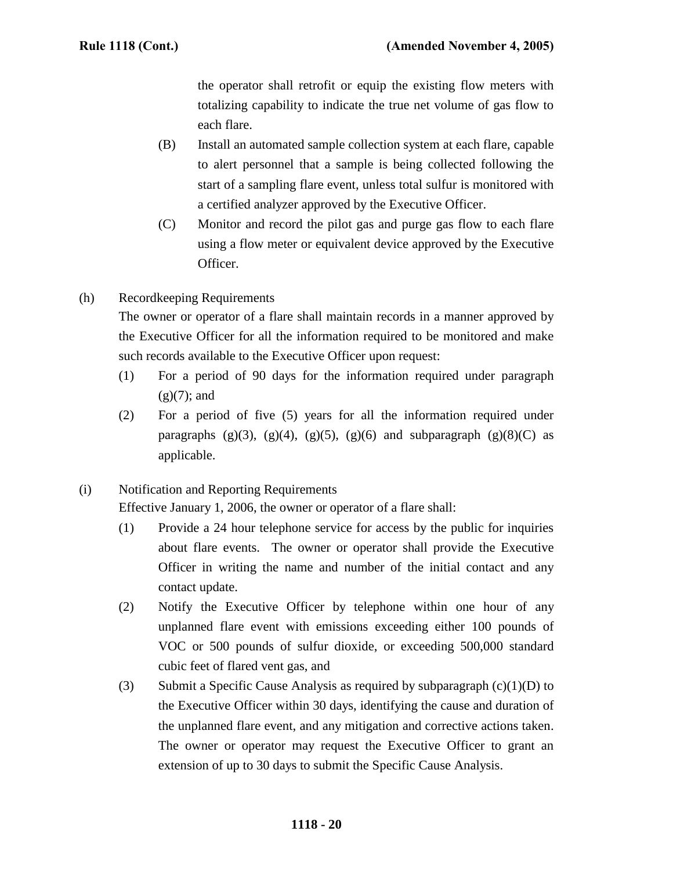the operator shall retrofit or equip the existing flow meters with totalizing capability to indicate the true net volume of gas flow to each flare.

- (B) Install an automated sample collection system at each flare, capable to alert personnel that a sample is being collected following the start of a sampling flare event, unless total sulfur is monitored with a certified analyzer approved by the Executive Officer.
- (C) Monitor and record the pilot gas and purge gas flow to each flare using a flow meter or equivalent device approved by the Executive Officer.
- (h) Recordkeeping Requirements

The owner or operator of a flare shall maintain records in a manner approved by the Executive Officer for all the information required to be monitored and make such records available to the Executive Officer upon request:

- (1) For a period of 90 days for the information required under paragraph  $(g)(7)$ ; and
- (2) For a period of five (5) years for all the information required under paragraphs (g)(3), (g)(4), (g)(5), (g)(6) and subparagraph (g)(8)(C) as applicable.

### (i) Notification and Reporting Requirements

Effective January 1, 2006, the owner or operator of a flare shall:

- (1) Provide a 24 hour telephone service for access by the public for inquiries about flare events. The owner or operator shall provide the Executive Officer in writing the name and number of the initial contact and any contact update.
- (2) Notify the Executive Officer by telephone within one hour of any unplanned flare event with emissions exceeding either 100 pounds of VOC or 500 pounds of sulfur dioxide, or exceeding 500,000 standard cubic feet of flared vent gas, and
- (3) Submit a Specific Cause Analysis as required by subparagraph  $(c)(1)(D)$  to the Executive Officer within 30 days, identifying the cause and duration of the unplanned flare event, and any mitigation and corrective actions taken. The owner or operator may request the Executive Officer to grant an extension of up to 30 days to submit the Specific Cause Analysis.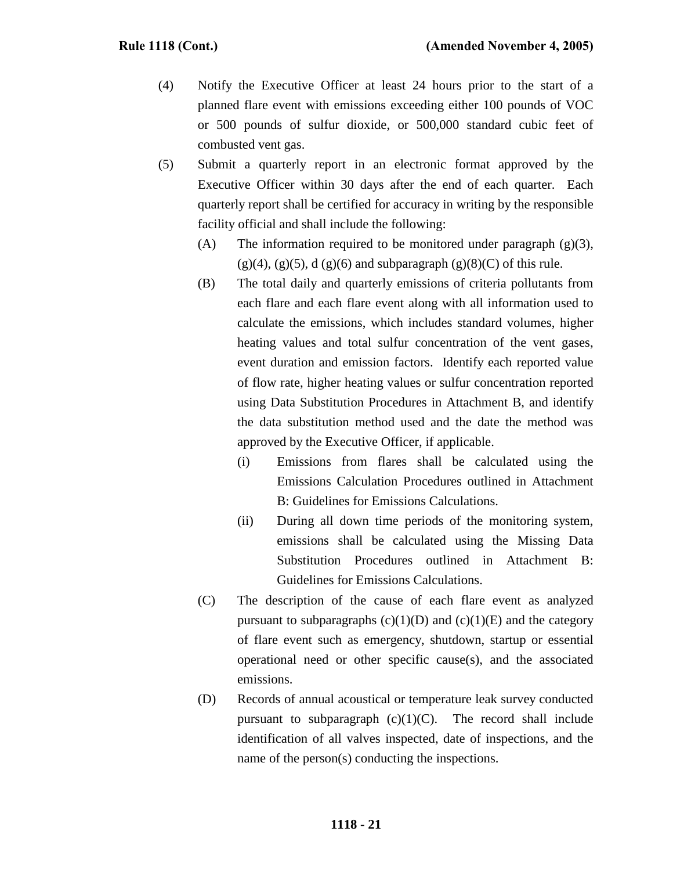- (4) Notify the Executive Officer at least 24 hours prior to the start of a planned flare event with emissions exceeding either 100 pounds of VOC or 500 pounds of sulfur dioxide, or 500,000 standard cubic feet of combusted vent gas.
- (5) Submit a quarterly report in an electronic format approved by the Executive Officer within 30 days after the end of each quarter. Each quarterly report shall be certified for accuracy in writing by the responsible facility official and shall include the following:
	- (A) The information required to be monitored under paragraph  $(g)(3)$ ,  $(g)(4)$ ,  $(g)(5)$ , d  $(g)(6)$  and subparagraph  $(g)(8)(C)$  of this rule.
	- (B) The total daily and quarterly emissions of criteria pollutants from each flare and each flare event along with all information used to calculate the emissions, which includes standard volumes, higher heating values and total sulfur concentration of the vent gases, event duration and emission factors. Identify each reported value of flow rate, higher heating values or sulfur concentration reported using Data Substitution Procedures in Attachment B, and identify the data substitution method used and the date the method was approved by the Executive Officer, if applicable.
		- (i) Emissions from flares shall be calculated using the Emissions Calculation Procedures outlined in Attachment B: Guidelines for Emissions Calculations.
		- (ii) During all down time periods of the monitoring system, emissions shall be calculated using the Missing Data Substitution Procedures outlined in Attachment B: Guidelines for Emissions Calculations.
	- (C) The description of the cause of each flare event as analyzed pursuant to subparagraphs  $(c)(1)(D)$  and  $(c)(1)(E)$  and the category of flare event such as emergency, shutdown, startup or essential operational need or other specific cause(s), and the associated emissions.
	- (D) Records of annual acoustical or temperature leak survey conducted pursuant to subparagraph  $(c)(1)(C)$ . The record shall include identification of all valves inspected, date of inspections, and the name of the person(s) conducting the inspections.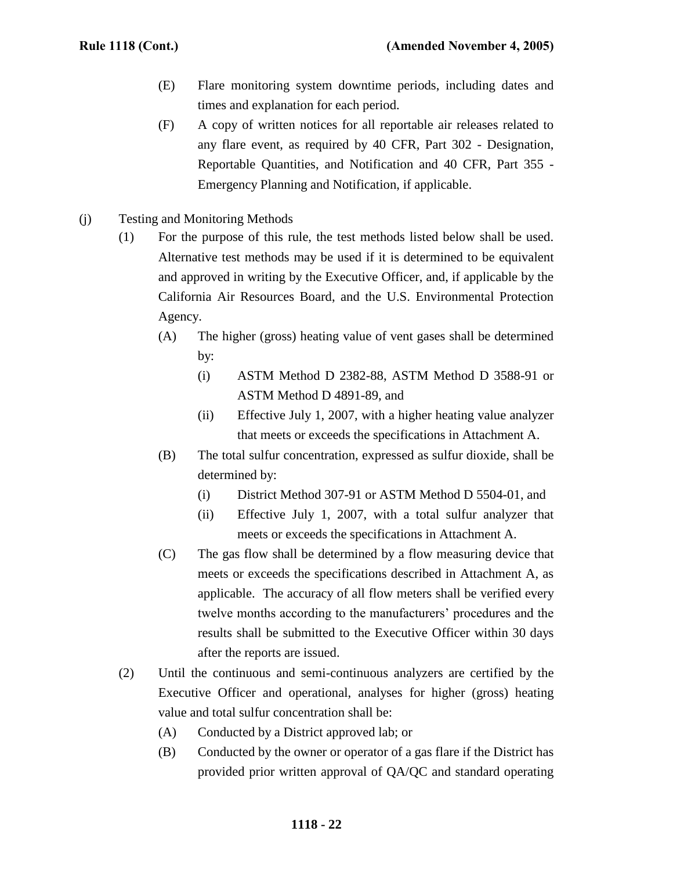- (E) Flare monitoring system downtime periods, including dates and times and explanation for each period.
- (F) A copy of written notices for all reportable air releases related to any flare event, as required by 40 CFR, Part 302 - Designation, Reportable Quantities, and Notification and 40 CFR, Part 355 - Emergency Planning and Notification, if applicable.
- (j) Testing and Monitoring Methods
	- (1) For the purpose of this rule, the test methods listed below shall be used. Alternative test methods may be used if it is determined to be equivalent and approved in writing by the Executive Officer, and, if applicable by the California Air Resources Board, and the U.S. Environmental Protection Agency.
		- (A) The higher (gross) heating value of vent gases shall be determined by:
			- (i) ASTM Method D 2382-88, ASTM Method D 3588-91 or ASTM Method D 4891-89, and
			- (ii) Effective July 1, 2007, with a higher heating value analyzer that meets or exceeds the specifications in Attachment A.
		- (B) The total sulfur concentration, expressed as sulfur dioxide, shall be determined by:
			- (i) District Method 307-91 or ASTM Method D 5504-01, and
			- (ii) Effective July 1, 2007, with a total sulfur analyzer that meets or exceeds the specifications in Attachment A.
		- (C) The gas flow shall be determined by a flow measuring device that meets or exceeds the specifications described in Attachment A, as applicable. The accuracy of all flow meters shall be verified every twelve months according to the manufacturers' procedures and the results shall be submitted to the Executive Officer within 30 days after the reports are issued.
	- (2) Until the continuous and semi-continuous analyzers are certified by the Executive Officer and operational, analyses for higher (gross) heating value and total sulfur concentration shall be:
		- (A) Conducted by a District approved lab; or
		- (B) Conducted by the owner or operator of a gas flare if the District has provided prior written approval of QA/QC and standard operating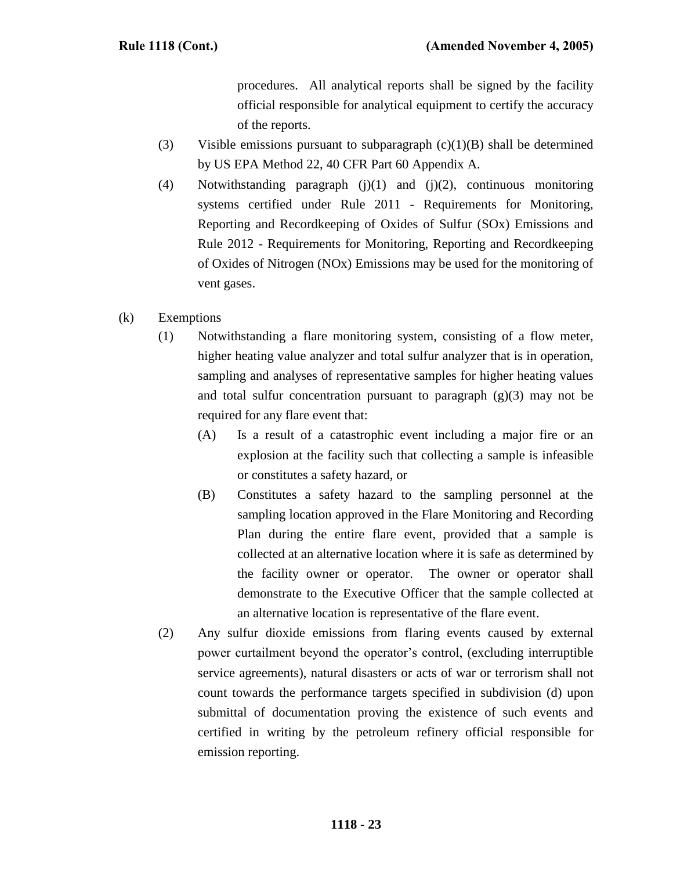procedures. All analytical reports shall be signed by the facility official responsible for analytical equipment to certify the accuracy of the reports.

- (3) Visible emissions pursuant to subparagraph  $(c)(1)(B)$  shall be determined by US EPA Method 22, 40 CFR Part 60 Appendix A.
- (4) Notwithstanding paragraph (j)(1) and (j)(2), continuous monitoring systems certified under Rule 2011 - Requirements for Monitoring, Reporting and Recordkeeping of Oxides of Sulfur (SOx) Emissions and Rule 2012 - Requirements for Monitoring, Reporting and Recordkeeping of Oxides of Nitrogen (NOx) Emissions may be used for the monitoring of vent gases.
- (k) Exemptions
	- (1) Notwithstanding a flare monitoring system, consisting of a flow meter, higher heating value analyzer and total sulfur analyzer that is in operation, sampling and analyses of representative samples for higher heating values and total sulfur concentration pursuant to paragraph  $(g)(3)$  may not be required for any flare event that:
		- (A) Is a result of a catastrophic event including a major fire or an explosion at the facility such that collecting a sample is infeasible or constitutes a safety hazard, or
		- (B) Constitutes a safety hazard to the sampling personnel at the sampling location approved in the Flare Monitoring and Recording Plan during the entire flare event, provided that a sample is collected at an alternative location where it is safe as determined by the facility owner or operator. The owner or operator shall demonstrate to the Executive Officer that the sample collected at an alternative location is representative of the flare event.
	- (2) Any sulfur dioxide emissions from flaring events caused by external power curtailment beyond the operator's control, (excluding interruptible service agreements), natural disasters or acts of war or terrorism shall not count towards the performance targets specified in subdivision (d) upon submittal of documentation proving the existence of such events and certified in writing by the petroleum refinery official responsible for emission reporting.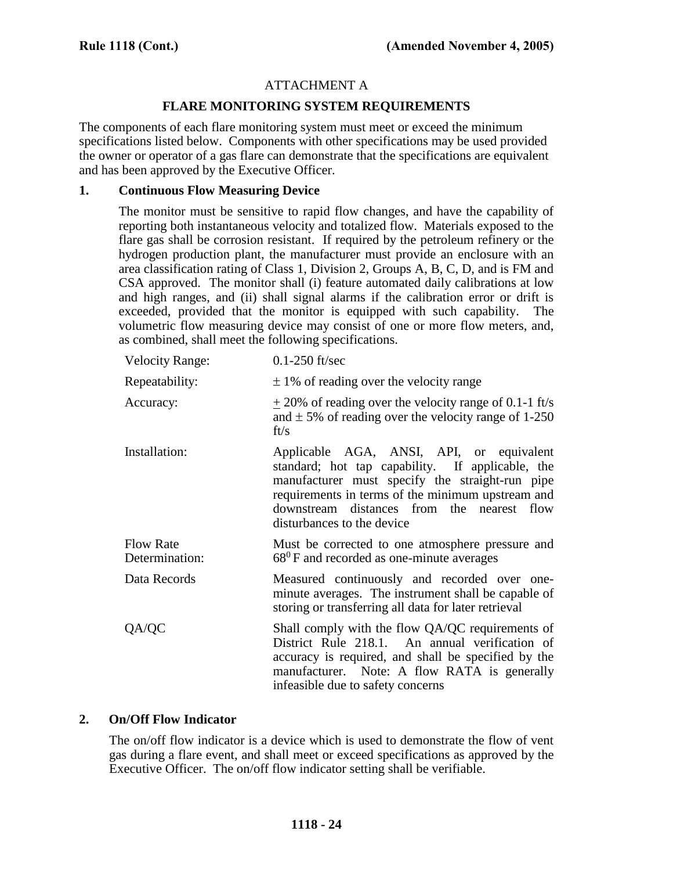## ATTACHMENT A

## **FLARE MONITORING SYSTEM REQUIREMENTS**

The components of each flare monitoring system must meet or exceed the minimum specifications listed below. Components with other specifications may be used provided the owner or operator of a gas flare can demonstrate that the specifications are equivalent and has been approved by the Executive Officer.

#### **1. Continuous Flow Measuring Device**

The monitor must be sensitive to rapid flow changes, and have the capability of reporting both instantaneous velocity and totalized flow. Materials exposed to the flare gas shall be corrosion resistant. If required by the petroleum refinery or the hydrogen production plant, the manufacturer must provide an enclosure with an area classification rating of Class 1, Division 2, Groups A, B, C, D, and is FM and CSA approved. The monitor shall (i) feature automated daily calibrations at low and high ranges, and (ii) shall signal alarms if the calibration error or drift is exceeded, provided that the monitor is equipped with such capability. The volumetric flow measuring device may consist of one or more flow meters, and, as combined, shall meet the following specifications.

| <b>Velocity Range:</b>             | $0.1-250$ ft/sec                                                                                                                                                                                                                                                                 |
|------------------------------------|----------------------------------------------------------------------------------------------------------------------------------------------------------------------------------------------------------------------------------------------------------------------------------|
| Repeatability:                     | $\pm$ 1% of reading over the velocity range                                                                                                                                                                                                                                      |
| Accuracy:                          | $+20\%$ of reading over the velocity range of 0.1-1 ft/s<br>and $\pm$ 5% of reading over the velocity range of 1-250<br>ft/s                                                                                                                                                     |
| Installation:                      | Applicable AGA, ANSI, API, or equivalent<br>standard; hot tap capability. If applicable, the<br>manufacturer must specify the straight-run pipe<br>requirements in terms of the minimum upstream and<br>downstream distances from the nearest flow<br>disturbances to the device |
| <b>Flow Rate</b><br>Determination: | Must be corrected to one atmosphere pressure and<br>$68^{\circ}$ F and recorded as one-minute averages                                                                                                                                                                           |
| Data Records                       | Measured continuously and recorded over one-<br>minute averages. The instrument shall be capable of<br>storing or transferring all data for later retrieval                                                                                                                      |
| QA/QC                              | Shall comply with the flow QA/QC requirements of<br>District Rule 218.1. An annual verification of<br>accuracy is required, and shall be specified by the<br>manufacturer. Note: A flow RATA is generally<br>infeasible due to safety concerns                                   |

### **2. On/Off Flow Indicator**

The on/off flow indicator is a device which is used to demonstrate the flow of vent gas during a flare event, and shall meet or exceed specifications as approved by the Executive Officer. The on/off flow indicator setting shall be verifiable.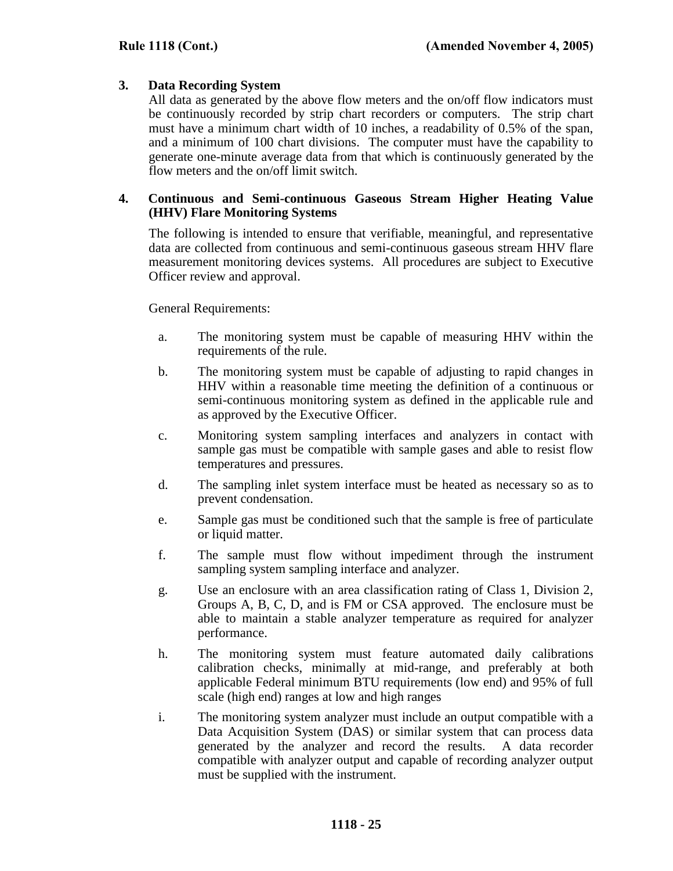## **3. Data Recording System**

All data as generated by the above flow meters and the on/off flow indicators must be continuously recorded by strip chart recorders or computers. The strip chart must have a minimum chart width of 10 inches, a readability of 0.5% of the span, and a minimum of 100 chart divisions. The computer must have the capability to generate one-minute average data from that which is continuously generated by the flow meters and the on/off limit switch.

#### **4. Continuous and Semi-continuous Gaseous Stream Higher Heating Value (HHV) Flare Monitoring Systems**

The following is intended to ensure that verifiable, meaningful, and representative data are collected from continuous and semi-continuous gaseous stream HHV flare measurement monitoring devices systems. All procedures are subject to Executive Officer review and approval.

General Requirements:

- a. The monitoring system must be capable of measuring HHV within the requirements of the rule.
- b. The monitoring system must be capable of adjusting to rapid changes in HHV within a reasonable time meeting the definition of a continuous or semi-continuous monitoring system as defined in the applicable rule and as approved by the Executive Officer.
- c. Monitoring system sampling interfaces and analyzers in contact with sample gas must be compatible with sample gases and able to resist flow temperatures and pressures.
- d. The sampling inlet system interface must be heated as necessary so as to prevent condensation.
- e. Sample gas must be conditioned such that the sample is free of particulate or liquid matter.
- f. The sample must flow without impediment through the instrument sampling system sampling interface and analyzer.
- g. Use an enclosure with an area classification rating of Class 1, Division 2, Groups A, B, C, D, and is FM or CSA approved. The enclosure must be able to maintain a stable analyzer temperature as required for analyzer performance.
- h. The monitoring system must feature automated daily calibrations calibration checks, minimally at mid-range, and preferably at both applicable Federal minimum BTU requirements (low end) and 95% of full scale (high end) ranges at low and high ranges
- i. The monitoring system analyzer must include an output compatible with a Data Acquisition System (DAS) or similar system that can process data generated by the analyzer and record the results. A data recorder compatible with analyzer output and capable of recording analyzer output must be supplied with the instrument.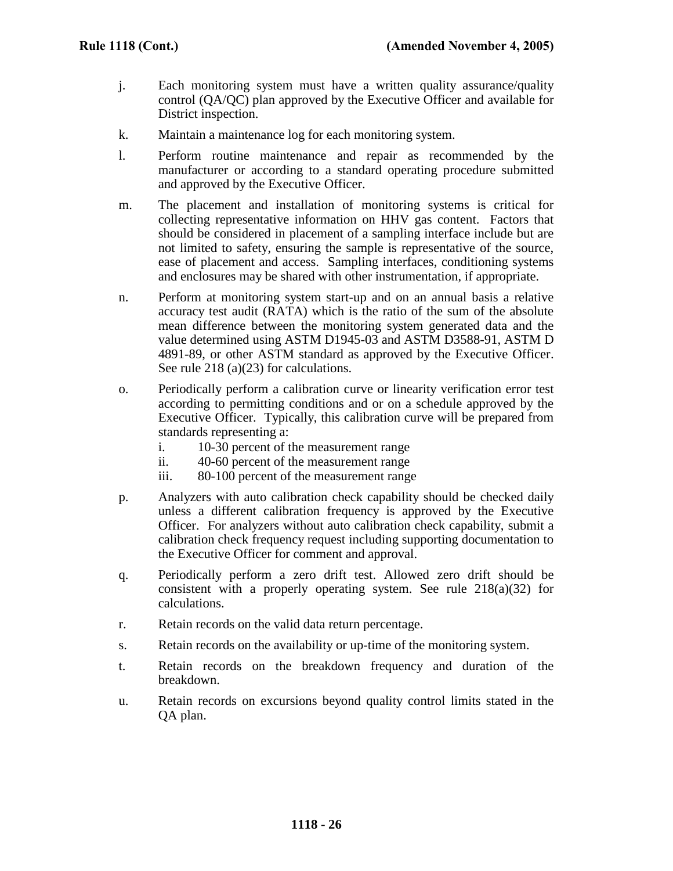- j. Each monitoring system must have a written quality assurance/quality control (QA/QC) plan approved by the Executive Officer and available for District inspection.
- k. Maintain a maintenance log for each monitoring system.
- l. Perform routine maintenance and repair as recommended by the manufacturer or according to a standard operating procedure submitted and approved by the Executive Officer.
- m. The placement and installation of monitoring systems is critical for collecting representative information on HHV gas content. Factors that should be considered in placement of a sampling interface include but are not limited to safety, ensuring the sample is representative of the source, ease of placement and access. Sampling interfaces, conditioning systems and enclosures may be shared with other instrumentation, if appropriate.
- n. Perform at monitoring system start-up and on an annual basis a relative accuracy test audit (RATA) which is the ratio of the sum of the absolute mean difference between the monitoring system generated data and the value determined using ASTM D1945-03 and ASTM D3588-91, ASTM D 4891-89, or other ASTM standard as approved by the Executive Officer. See rule 218 (a)(23) for calculations.
- o. Periodically perform a calibration curve or linearity verification error test according to permitting conditions and or on a schedule approved by the Executive Officer. Typically, this calibration curve will be prepared from standards representing a:
	- i. 10-30 percent of the measurement range
	- ii. 40-60 percent of the measurement range
	- iii. 80-100 percent of the measurement range
- p. Analyzers with auto calibration check capability should be checked daily unless a different calibration frequency is approved by the Executive Officer. For analyzers without auto calibration check capability, submit a calibration check frequency request including supporting documentation to the Executive Officer for comment and approval.
- q. Periodically perform a zero drift test. Allowed zero drift should be consistent with a properly operating system. See rule 218(a)(32) for calculations.
- r. Retain records on the valid data return percentage.
- s. Retain records on the availability or up-time of the monitoring system.
- t. Retain records on the breakdown frequency and duration of the breakdown.
- u. Retain records on excursions beyond quality control limits stated in the QA plan.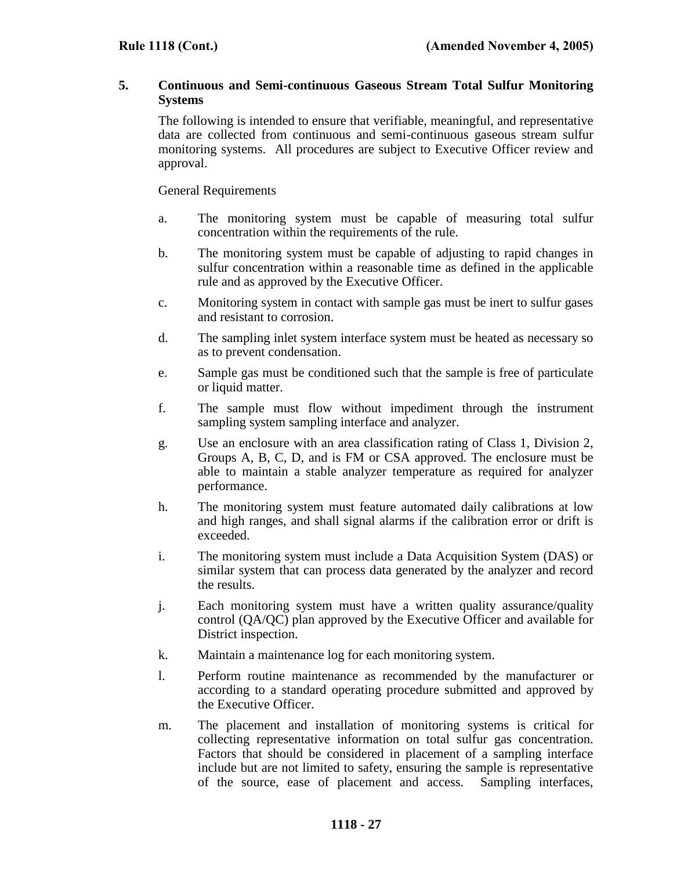### **5. Continuous and Semi-continuous Gaseous Stream Total Sulfur Monitoring Systems**

The following is intended to ensure that verifiable, meaningful, and representative data are collected from continuous and semi-continuous gaseous stream sulfur monitoring systems. All procedures are subject to Executive Officer review and approval.

General Requirements

- a. The monitoring system must be capable of measuring total sulfur concentration within the requirements of the rule.
- b. The monitoring system must be capable of adjusting to rapid changes in sulfur concentration within a reasonable time as defined in the applicable rule and as approved by the Executive Officer.
- c. Monitoring system in contact with sample gas must be inert to sulfur gases and resistant to corrosion.
- d. The sampling inlet system interface system must be heated as necessary so as to prevent condensation.
- e. Sample gas must be conditioned such that the sample is free of particulate or liquid matter.
- f. The sample must flow without impediment through the instrument sampling system sampling interface and analyzer.
- g. Use an enclosure with an area classification rating of Class 1, Division 2, Groups A, B, C, D, and is FM or CSA approved. The enclosure must be able to maintain a stable analyzer temperature as required for analyzer performance.
- h. The monitoring system must feature automated daily calibrations at low and high ranges, and shall signal alarms if the calibration error or drift is exceeded.
- i. The monitoring system must include a Data Acquisition System (DAS) or similar system that can process data generated by the analyzer and record the results.
- j. Each monitoring system must have a written quality assurance/quality control (QA/QC) plan approved by the Executive Officer and available for District inspection.
- k. Maintain a maintenance log for each monitoring system.
- l. Perform routine maintenance as recommended by the manufacturer or according to a standard operating procedure submitted and approved by the Executive Officer.
- m. The placement and installation of monitoring systems is critical for collecting representative information on total sulfur gas concentration. Factors that should be considered in placement of a sampling interface include but are not limited to safety, ensuring the sample is representative of the source, ease of placement and access. Sampling interfaces,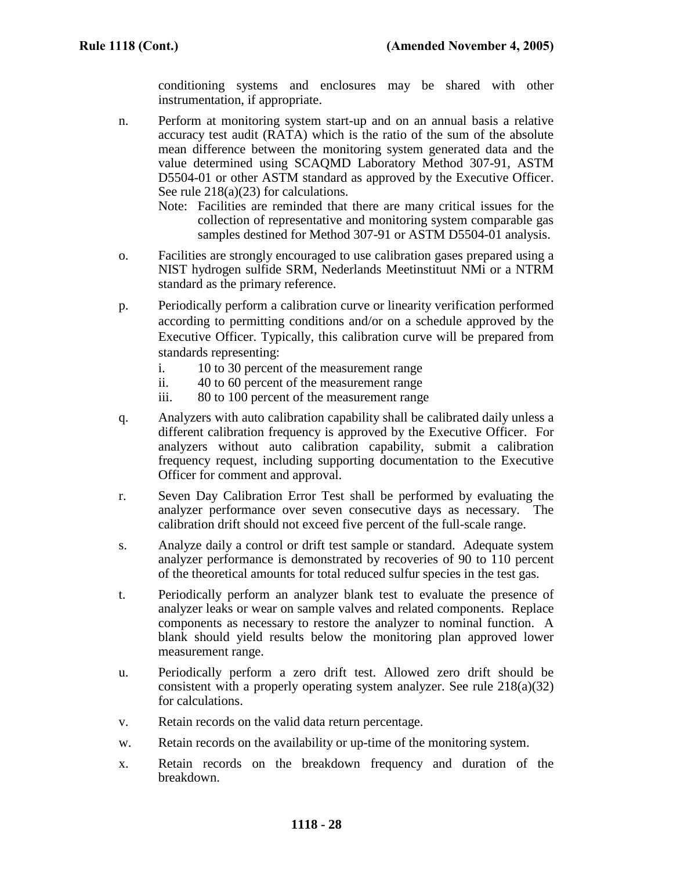conditioning systems and enclosures may be shared with other instrumentation, if appropriate.

- n. Perform at monitoring system start-up and on an annual basis a relative accuracy test audit (RATA) which is the ratio of the sum of the absolute mean difference between the monitoring system generated data and the value determined using SCAQMD Laboratory Method 307-91, ASTM D5504-01 or other ASTM standard as approved by the Executive Officer. See rule  $218(a)(23)$  for calculations.
	- Note: Facilities are reminded that there are many critical issues for the collection of representative and monitoring system comparable gas samples destined for Method 307-91 or ASTM D5504-01 analysis.
- o. Facilities are strongly encouraged to use calibration gases prepared using a NIST hydrogen sulfide SRM, Nederlands Meetinstituut NMi or a NTRM standard as the primary reference.
- p. Periodically perform a calibration curve or linearity verification performed according to permitting conditions and/or on a schedule approved by the Executive Officer. Typically, this calibration curve will be prepared from standards representing:
	- i. 10 to 30 percent of the measurement range
	- ii. 40 to 60 percent of the measurement range
	- iii. 80 to 100 percent of the measurement range
- q. Analyzers with auto calibration capability shall be calibrated daily unless a different calibration frequency is approved by the Executive Officer. For analyzers without auto calibration capability, submit a calibration frequency request, including supporting documentation to the Executive Officer for comment and approval.
- r. Seven Day Calibration Error Test shall be performed by evaluating the analyzer performance over seven consecutive days as necessary. The calibration drift should not exceed five percent of the full-scale range.
- s. Analyze daily a control or drift test sample or standard. Adequate system analyzer performance is demonstrated by recoveries of 90 to 110 percent of the theoretical amounts for total reduced sulfur species in the test gas.
- t. Periodically perform an analyzer blank test to evaluate the presence of analyzer leaks or wear on sample valves and related components. Replace components as necessary to restore the analyzer to nominal function. A blank should yield results below the monitoring plan approved lower measurement range.
- u. Periodically perform a zero drift test. Allowed zero drift should be consistent with a properly operating system analyzer. See rule 218(a)(32) for calculations.
- v. Retain records on the valid data return percentage.
- w. Retain records on the availability or up-time of the monitoring system.
- x. Retain records on the breakdown frequency and duration of the breakdown.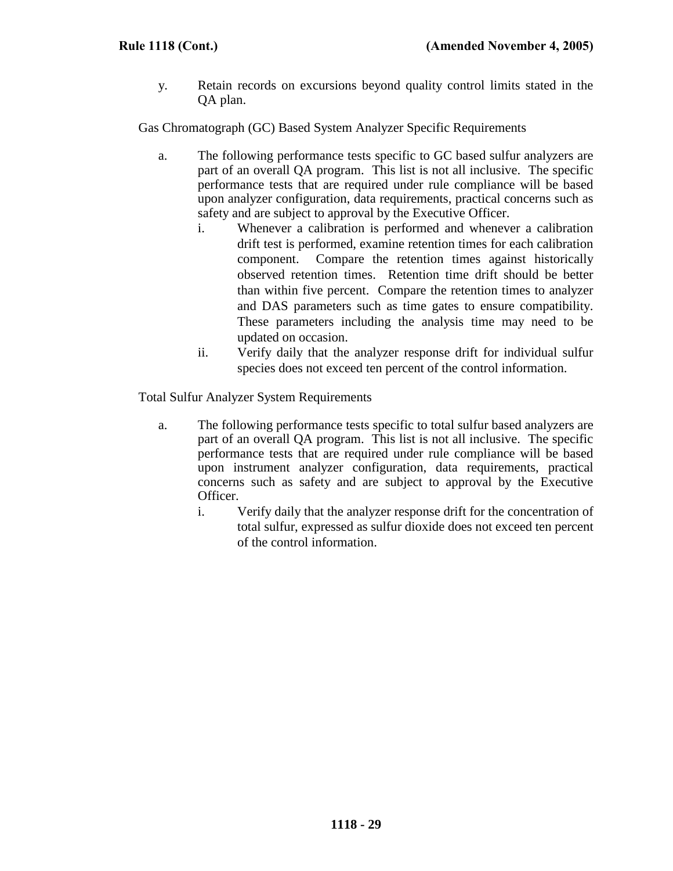y. Retain records on excursions beyond quality control limits stated in the QA plan.

Gas Chromatograph (GC) Based System Analyzer Specific Requirements

- a. The following performance tests specific to GC based sulfur analyzers are part of an overall QA program. This list is not all inclusive. The specific performance tests that are required under rule compliance will be based upon analyzer configuration, data requirements, practical concerns such as safety and are subject to approval by the Executive Officer.
	- i. Whenever a calibration is performed and whenever a calibration drift test is performed, examine retention times for each calibration component. Compare the retention times against historically observed retention times. Retention time drift should be better than within five percent. Compare the retention times to analyzer and DAS parameters such as time gates to ensure compatibility. These parameters including the analysis time may need to be updated on occasion.
	- ii. Verify daily that the analyzer response drift for individual sulfur species does not exceed ten percent of the control information.

Total Sulfur Analyzer System Requirements

- a. The following performance tests specific to total sulfur based analyzers are part of an overall QA program. This list is not all inclusive. The specific performance tests that are required under rule compliance will be based upon instrument analyzer configuration, data requirements, practical concerns such as safety and are subject to approval by the Executive Officer.
	- i. Verify daily that the analyzer response drift for the concentration of total sulfur, expressed as sulfur dioxide does not exceed ten percent of the control information.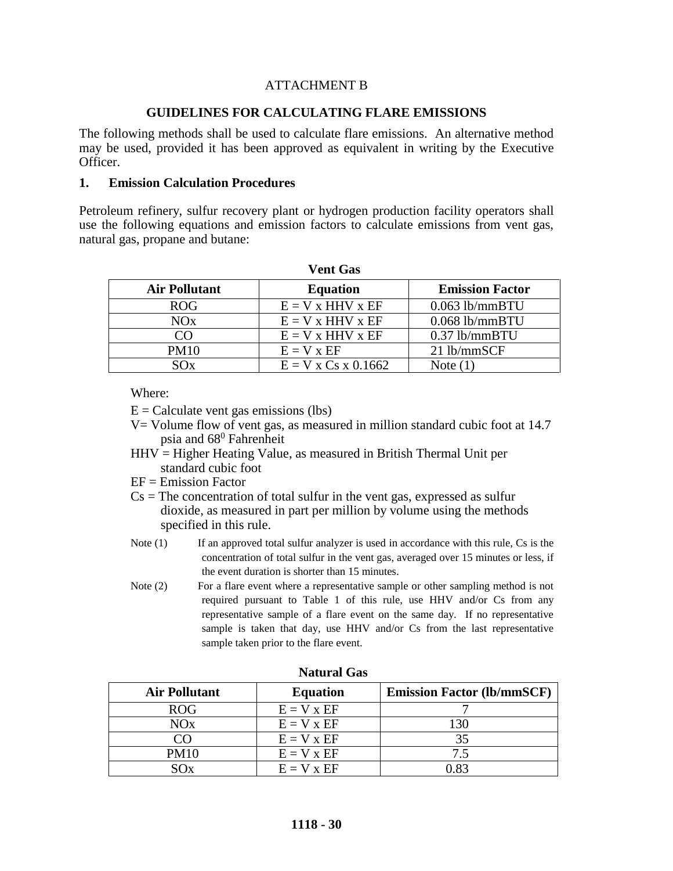### ATTACHMENT B

#### **GUIDELINES FOR CALCULATING FLARE EMISSIONS**

The following methods shall be used to calculate flare emissions. An alternative method may be used, provided it has been approved as equivalent in writing by the Executive Officer.

#### **1. Emission Calculation Procedures**

Petroleum refinery, sulfur recovery plant or hydrogen production facility operators shall use the following equations and emission factors to calculate emissions from vent gas, natural gas, propane and butane:

| <b>Vent Gas</b>      |                       |                        |  |
|----------------------|-----------------------|------------------------|--|
| <b>Air Pollutant</b> | <b>Equation</b>       | <b>Emission Factor</b> |  |
| <b>ROG</b>           | $E = V x HHV x EF$    | $0.063$ lb/mmBTU       |  |
| NOx                  | $E = V x HHV x EF$    | $0.068$ lb/mmBTU       |  |
| $\cap$               | $E = V x HHV x EF$    | $0.37$ lb/mmBTU        |  |
| <b>PM10</b>          | $E = V x EF$          | 21 lb/mmSCF            |  |
| SOx                  | $E = V x Cs x 0.1662$ | Note $(1)$             |  |

Where:

 $E =$  Calculate vent gas emissions (lbs)

- V= Volume flow of vent gas, as measured in million standard cubic foot at 14.7 psia and  $68^{\circ}$  Fahrenheit
- $HHV = Higher Heating Value$ , as measured in British Thermal Unit per standard cubic foot
- $EF = E$ mission Factor
- $Cs = The concentration of total sulfur in the vent gas, expressed as sulfur$ dioxide, as measured in part per million by volume using the methods specified in this rule.
- Note (1) If an approved total sulfur analyzer is used in accordance with this rule, Cs is the concentration of total sulfur in the vent gas, averaged over 15 minutes or less, if the event duration is shorter than 15 minutes.
- Note (2) For a flare event where a representative sample or other sampling method is not required pursuant to Table 1 of this rule, use HHV and/or Cs from any representative sample of a flare event on the same day. If no representative sample is taken that day, use HHV and/or Cs from the last representative sample taken prior to the flare event.

| <b>Air Pollutant</b> | <b>Equation</b> | <b>Emission Factor (lb/mmSCF)</b> |
|----------------------|-----------------|-----------------------------------|
| <b>ROG</b>           | $E = V x EF$    |                                   |
| NOx                  | $E = V x EF$    | 130                               |
| CΩ                   | $E = V x EF$    | 35                                |
| <b>PM10</b>          | $E = V x EF$    | 7.5                               |
|                      | $E = V x EF$    | $+182$                            |

#### **Natural Gas**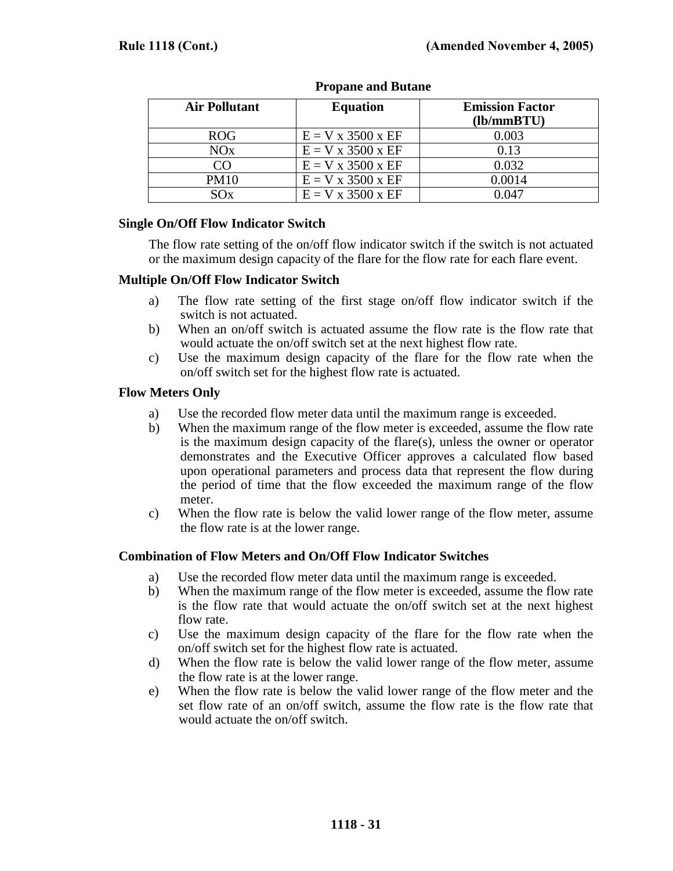| <b>Air Pollutant</b>  | <b>Equation</b>     | <b>Emission Factor</b><br>(lb/mm B T U) |
|-----------------------|---------------------|-----------------------------------------|
| <b>ROG</b>            | $E = V x 3500 x EF$ | 0.003                                   |
| <b>NO<sub>x</sub></b> | $E = V x 3500 x EF$ | 0.13                                    |
| CO                    | $E = V x 3500 x EF$ | 0.032                                   |
| <b>PM10</b>           | $E = V x 3500 x EF$ | 0.0014                                  |
| SOx                   | $E = V x 3500 x EF$ | ) 047                                   |

#### **Propane and Butane**

### **Single On/Off Flow Indicator Switch**

The flow rate setting of the on/off flow indicator switch if the switch is not actuated or the maximum design capacity of the flare for the flow rate for each flare event.

### **Multiple On/Off Flow Indicator Switch**

- a) The flow rate setting of the first stage on/off flow indicator switch if the switch is not actuated.
- b) When an on/off switch is actuated assume the flow rate is the flow rate that would actuate the on/off switch set at the next highest flow rate.
- c) Use the maximum design capacity of the flare for the flow rate when the on/off switch set for the highest flow rate is actuated.

## **Flow Meters Only**

- a) Use the recorded flow meter data until the maximum range is exceeded.
- b) When the maximum range of the flow meter is exceeded, assume the flow rate is the maximum design capacity of the flare(s), unless the owner or operator demonstrates and the Executive Officer approves a calculated flow based upon operational parameters and process data that represent the flow during the period of time that the flow exceeded the maximum range of the flow meter.
- c) When the flow rate is below the valid lower range of the flow meter, assume the flow rate is at the lower range.

## **Combination of Flow Meters and On/Off Flow Indicator Switches**

- a) Use the recorded flow meter data until the maximum range is exceeded.
- b) When the maximum range of the flow meter is exceeded, assume the flow rate is the flow rate that would actuate the on/off switch set at the next highest flow rate.
- c) Use the maximum design capacity of the flare for the flow rate when the on/off switch set for the highest flow rate is actuated.
- d) When the flow rate is below the valid lower range of the flow meter, assume the flow rate is at the lower range.
- e) When the flow rate is below the valid lower range of the flow meter and the set flow rate of an on/off switch, assume the flow rate is the flow rate that would actuate the on/off switch.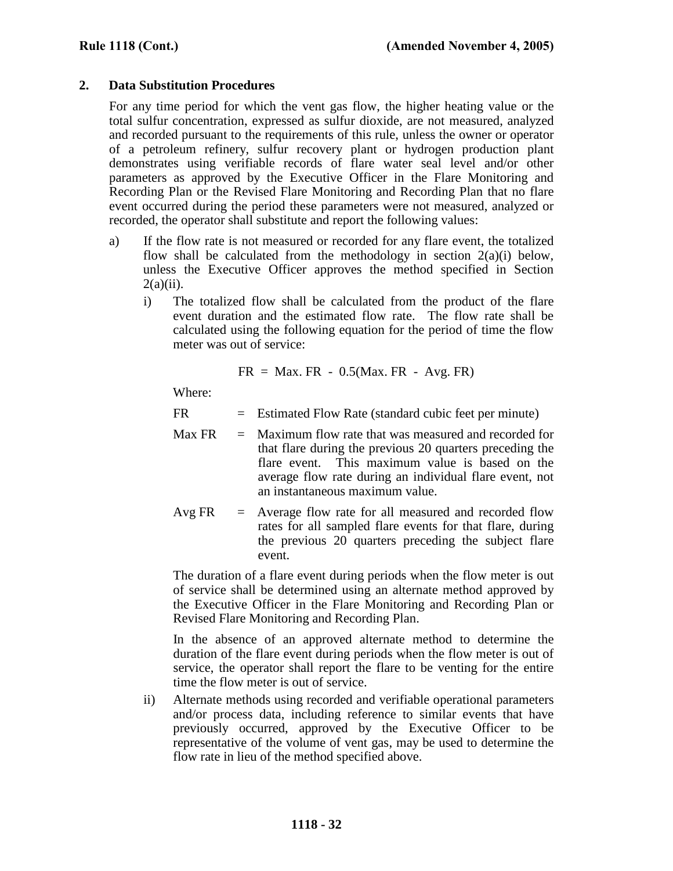## **2. Data Substitution Procedures**

For any time period for which the vent gas flow, the higher heating value or the total sulfur concentration, expressed as sulfur dioxide, are not measured, analyzed and recorded pursuant to the requirements of this rule, unless the owner or operator of a petroleum refinery, sulfur recovery plant or hydrogen production plant demonstrates using verifiable records of flare water seal level and/or other parameters as approved by the Executive Officer in the Flare Monitoring and Recording Plan or the Revised Flare Monitoring and Recording Plan that no flare event occurred during the period these parameters were not measured, analyzed or recorded, the operator shall substitute and report the following values:

- a) If the flow rate is not measured or recorded for any flare event, the totalized flow shall be calculated from the methodology in section  $2(a)(i)$  below, unless the Executive Officer approves the method specified in Section  $2(a)(ii)$ .
	- i) The totalized flow shall be calculated from the product of the flare event duration and the estimated flow rate. The flow rate shall be calculated using the following equation for the period of time the flow meter was out of service:

$$
FR = Max. FR - 0.5 (Max. FR - Avg. FR)
$$

Where:

 $FR =$  Estimated Flow Rate (standard cubic feet per minute)

- $Max FR$  = Maximum flow rate that was measured and recorded for that flare during the previous 20 quarters preceding the flare event. This maximum value is based on the average flow rate during an individual flare event, not an instantaneous maximum value.
- Avg  $FR =$  Average flow rate for all measured and recorded flow rates for all sampled flare events for that flare, during the previous 20 quarters preceding the subject flare event.

The duration of a flare event during periods when the flow meter is out of service shall be determined using an alternate method approved by the Executive Officer in the Flare Monitoring and Recording Plan or Revised Flare Monitoring and Recording Plan.

In the absence of an approved alternate method to determine the duration of the flare event during periods when the flow meter is out of service, the operator shall report the flare to be venting for the entire time the flow meter is out of service.

ii) Alternate methods using recorded and verifiable operational parameters and/or process data, including reference to similar events that have previously occurred, approved by the Executive Officer to be representative of the volume of vent gas, may be used to determine the flow rate in lieu of the method specified above.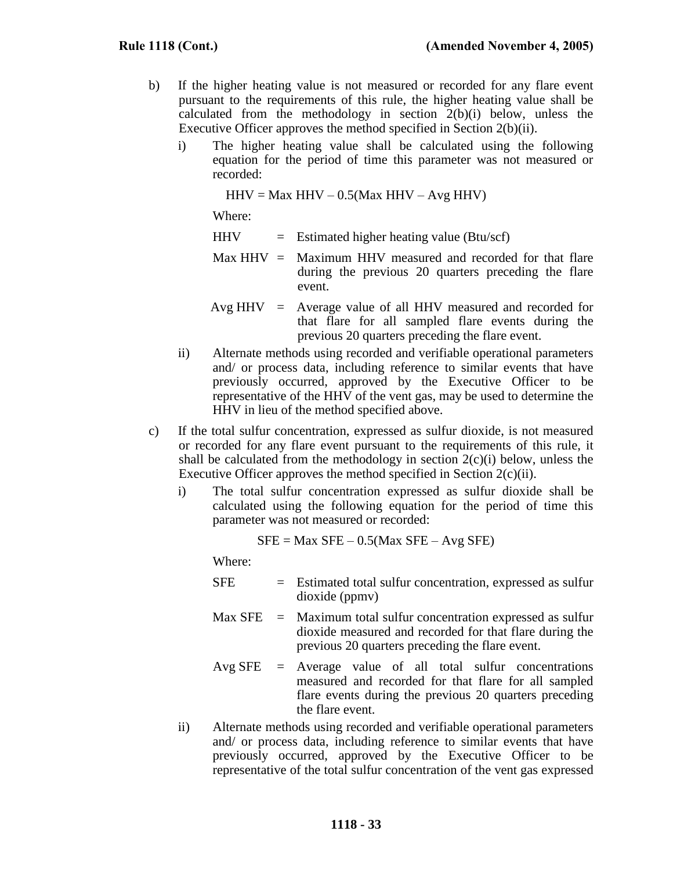- b) If the higher heating value is not measured or recorded for any flare event pursuant to the requirements of this rule, the higher heating value shall be calculated from the methodology in section 2(b)(i) below, unless the Executive Officer approves the method specified in Section 2(b)(ii).
	- i) The higher heating value shall be calculated using the following equation for the period of time this parameter was not measured or recorded:

 $HHV = Max HHV - 0.5(Max HHV - Avg HHV)$ 

Where:

- $HHV = Estimated higher heating value (Btu/scf)$
- $Max HHV = Maximum HHV$  measured and recorded for that flare during the previous 20 quarters preceding the flare event.
- Avg  $HHV$  = Average value of all  $HHV$  measured and recorded for that flare for all sampled flare events during the previous 20 quarters preceding the flare event.
- ii) Alternate methods using recorded and verifiable operational parameters and/ or process data, including reference to similar events that have previously occurred, approved by the Executive Officer to be representative of the HHV of the vent gas, may be used to determine the HHV in lieu of the method specified above.
- c) If the total sulfur concentration, expressed as sulfur dioxide, is not measured or recorded for any flare event pursuant to the requirements of this rule, it shall be calculated from the methodology in section  $2(c)(i)$  below, unless the Executive Officer approves the method specified in Section 2(c)(ii).
	- i) The total sulfur concentration expressed as sulfur dioxide shall be calculated using the following equation for the period of time this parameter was not measured or recorded:

$$
SFE = Max SFE - 0.5(Max SFE - Avg SFE)
$$

Where:

- $SFE = Estimated total sulfur concentration, expressed as sulfur$ dioxide (ppmv)
- $Max SFE = Maximum total sulfur concentration expressed as sulfur$ dioxide measured and recorded for that flare during the previous 20 quarters preceding the flare event.
- $Avg SFE = Average value of all total sulfur concentrations$ measured and recorded for that flare for all sampled flare events during the previous 20 quarters preceding the flare event.
- ii) Alternate methods using recorded and verifiable operational parameters and/ or process data, including reference to similar events that have previously occurred, approved by the Executive Officer to be representative of the total sulfur concentration of the vent gas expressed